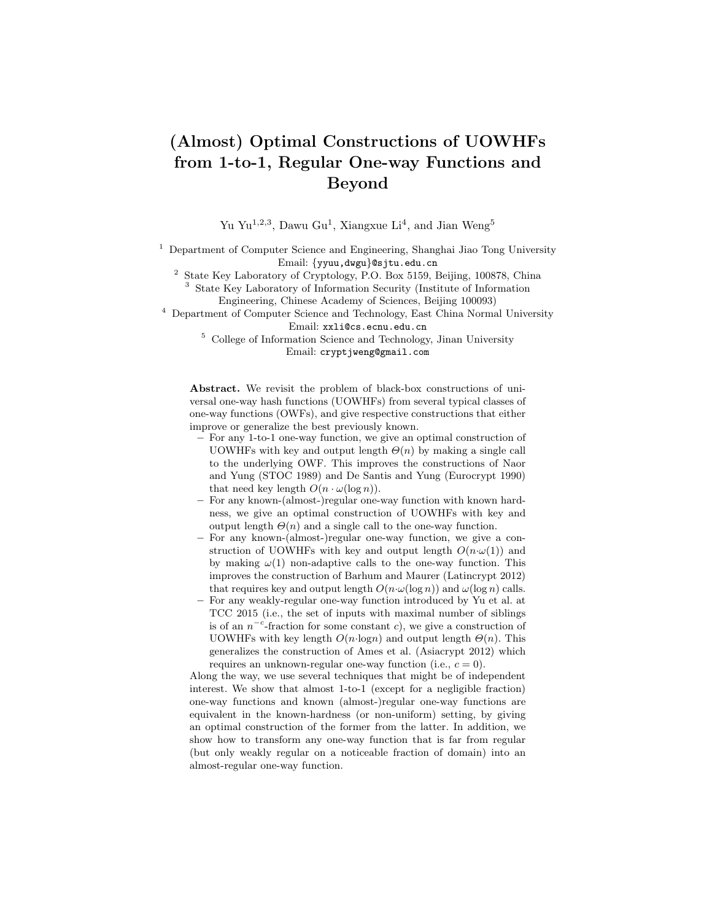# (Almost) Optimal Constructions of UOWHFs from 1-to-1, Regular One-way Functions and Beyond

Yu Yu<sup>1,2,3</sup>, Dawu Gu<sup>1</sup>, Xiangxue Li<sup>4</sup>, and Jian Weng<sup>5</sup>

<sup>1</sup> Department of Computer Science and Engineering, Shanghai Jiao Tong University Email: {yyuu,dwgu}@sjtu.edu.cn

<sup>2</sup> State Key Laboratory of Cryptology, P.O. Box 5159, Beijing, 100878, China <sup>3</sup> State Key Laboratory of Information Security (Institute of Information

Engineering, Chinese Academy of Sciences, Beijing 100093)

<sup>4</sup> Department of Computer Science and Technology, East China Normal University Email: xxli@cs.ecnu.edu.cn

 $^5\,$  College of Information Science and Technology, Jinan University Email: cryptjweng@gmail.com

Abstract. We revisit the problem of black-box constructions of universal one-way hash functions (UOWHFs) from several typical classes of one-way functions (OWFs), and give respective constructions that either improve or generalize the best previously known.

- For any 1-to-1 one-way function, we give an optimal construction of UOWHFs with key and output length  $\Theta(n)$  by making a single call to the underlying OWF. This improves the constructions of Naor and Yung (STOC 1989) and De Santis and Yung (Eurocrypt 1990) that need key length  $O(n \cdot \omega(\log n))$ .
- For any known-(almost-)regular one-way function with known hardness, we give an optimal construction of UOWHFs with key and output length  $\Theta(n)$  and a single call to the one-way function.
- For any known-(almost-)regular one-way function, we give a construction of UOWHFs with key and output length  $O(n \cdot \omega(1))$  and by making  $\omega(1)$  non-adaptive calls to the one-way function. This improves the construction of Barhum and Maurer (Latincrypt 2012) that requires key and output length  $O(n \cdot \omega(\log n))$  and  $\omega(\log n)$  calls.
- For any weakly-regular one-way function introduced by Yu et al. at TCC 2015 (i.e., the set of inputs with maximal number of siblings is of an  $n^{-c}$ -fraction for some constant c), we give a construction of UOWHFs with key length  $O(n \cdot \log n)$  and output length  $\Theta(n)$ . This generalizes the construction of Ames et al. (Asiacrypt 2012) which requires an unknown-regular one-way function (i.e.,  $c = 0$ ).

Along the way, we use several techniques that might be of independent interest. We show that almost 1-to-1 (except for a negligible fraction) one-way functions and known (almost-)regular one-way functions are equivalent in the known-hardness (or non-uniform) setting, by giving an optimal construction of the former from the latter. In addition, we show how to transform any one-way function that is far from regular (but only weakly regular on a noticeable fraction of domain) into an almost-regular one-way function.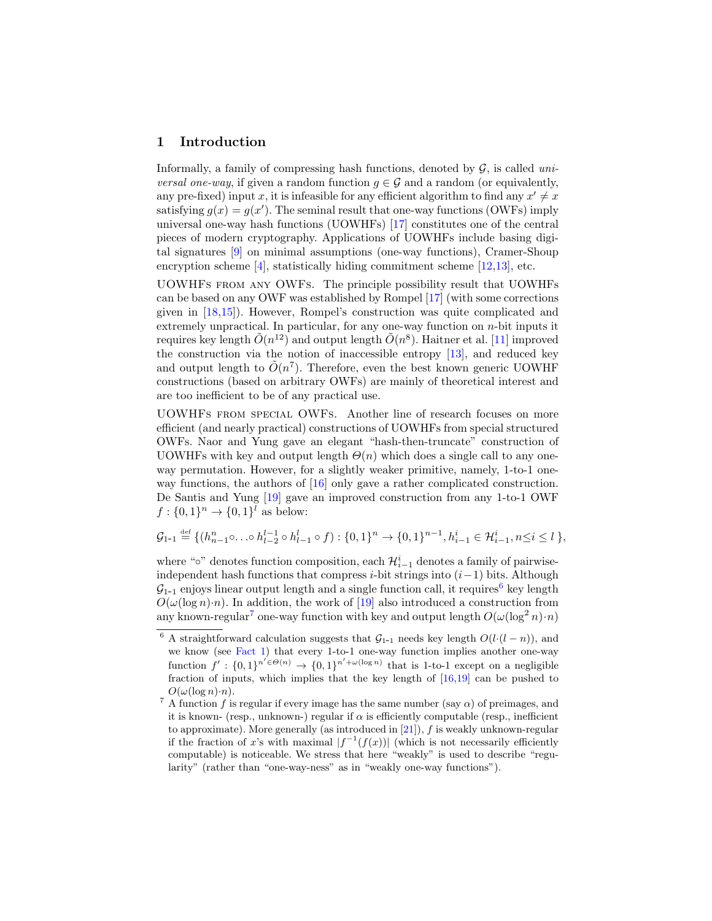# 1 Introduction

Informally, a family of compressing hash functions, denoted by  $G$ , is called uni*versal one-way*, if given a random function  $g \in \mathcal{G}$  and a random (or equivalently, any pre-fixed) input x, it is infeasible for any efficient algorithm to find any  $x' \neq x$ satisfying  $g(x) = g(x')$ . The seminal result that one-way functions (OWFs) imply universal one-way hash functions (UOWHFs) [\[17\]](#page-19-0) constitutes one of the central pieces of modern cryptography. Applications of UOWHFs include basing digital signatures [\[9\]](#page-18-0) on minimal assumptions (one-way functions), Cramer-Shoup encryption scheme [\[4\]](#page-18-1), statistically hiding commitment scheme [\[12,](#page-19-1)[13\]](#page-19-2), etc.

UOWHFs from any OWFs. The principle possibility result that UOWHFs can be based on any OWF was established by Rompel [\[17\]](#page-19-0) (with some corrections given in [\[18](#page-19-3)[,15\]](#page-19-4)). However, Rompel's construction was quite complicated and extremely unpractical. In particular, for any one-way function on  $n$ -bit inputs it requires key length  $\tilde{O}(n^{12})$  and output length  $\tilde{O}(n^{8})$ . Haitner et al. [\[11\]](#page-18-2) improved the construction via the notion of inaccessible entropy [\[13\]](#page-19-2), and reduced key and output length to  $\tilde{O}(n^7)$ . Therefore, even the best known generic UOWHF constructions (based on arbitrary OWFs) are mainly of theoretical interest and are too inefficient to be of any practical use.

UOWHFs from special OWFs. Another line of research focuses on more efficient (and nearly practical) constructions of UOWHFs from special structured OWFs. Naor and Yung gave an elegant "hash-then-truncate" construction of UOWHFs with key and output length  $\Theta(n)$  which does a single call to any oneway permutation. However, for a slightly weaker primitive, namely, 1-to-1 oneway functions, the authors of [\[16\]](#page-19-5) only gave a rather complicated construction. De Santis and Yung [\[19\]](#page-19-6) gave an improved construction from any 1-to-1 OWF  $f: \{0,1\}^n \to \{0,1\}^l$  as below:

$$
\mathcal{G}_{1-1} \stackrel{\text{def}}{=} \{ (h_{n-1}^n \circ \ldots \circ h_{l-2}^{l-1} \circ h_{l-1}^l \circ f) : \{0,1\}^n \to \{0,1\}^{n-1}, h_{i-1}^i \in \mathcal{H}_{i-1}^i, n \le i \le l \}
$$

where "∘" denotes function composition, each  $\mathcal{H}_{i-1}^i$  denotes a family of pairwiseindependent hash functions that compress *i*-bit strings into  $(i-1)$  bits. Although  $\mathcal{G}_{1-1}$  enjoys linear output length and a single function call, it requires key length  $O(\omega(\log n) \cdot n)$ . In addition, the work of [\[19\]](#page-19-6) also introduced a construction from any known-regular<sup>[7](#page-1-1)</sup> one-way function with key and output length  $O(\omega(\log^2 n) \cdot n)$ 

<span id="page-1-0"></span><sup>&</sup>lt;sup>6</sup> A straightforward calculation suggests that  $\mathcal{G}_{1-1}$  needs key length  $O(l \cdot (l - n))$ , and we know (see [Fact 1\)](#page-8-0) that every 1-to-1 one-way function implies another one-way function  $f' : \{0,1\}^{n' \in \Theta(n)} \to \{0,1\}^{n'+\omega(\log n)}$  that is 1-to-1 except on a negligible fraction of inputs, which implies that the key length of [\[16,](#page-19-5)[19\]](#page-19-6) can be pushed to  $O(\omega(\log n) \cdot n)$ .

<span id="page-1-1"></span><sup>&</sup>lt;sup>7</sup> A function f is regular if every image has the same number (say  $\alpha$ ) of preimages, and it is known- (resp., unknown-) regular if  $\alpha$  is efficiently computable (resp., inefficient to approximate). More generally (as introduced in  $[21]$ ),  $f$  is weakly unknown-regular if the fraction of x's with maximal  $|f^{-1}(f(x))|$  (which is not necessarily efficiently computable) is noticeable. We stress that here "weakly" is used to describe "regularity" (rather than "one-way-ness" as in "weakly one-way functions").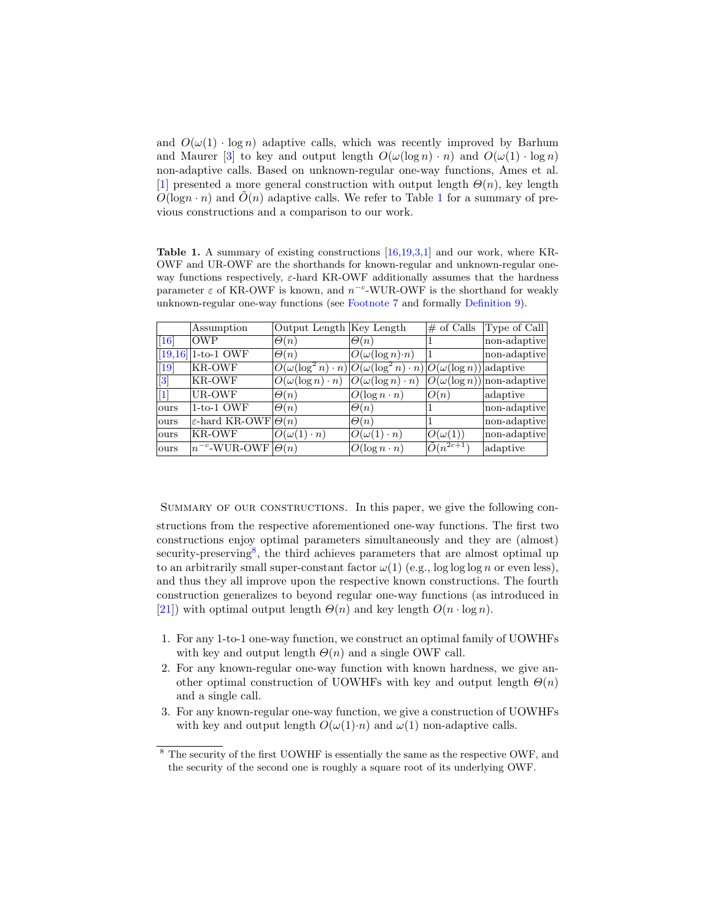and  $O(\omega(1) \cdot \log n)$  adaptive calls, which was recently improved by Barhum and Maurer [\[3\]](#page-18-3) to key and output length  $O(\omega(\log n) \cdot n)$  and  $O(\omega(1) \cdot \log n)$ non-adaptive calls. Based on unknown-regular one-way functions, Ames et al. [\[1\]](#page-18-4) presented a more general construction with output length  $\Theta(n)$ , key length  $O(\log n \cdot n)$  and  $\tilde{O}(n)$  adaptive calls. We refer to Table [1](#page-2-0) for a summary of previous constructions and a comparison to our work.

<span id="page-2-0"></span>**Table 1.** A summary of existing constructions  $[16,19,3,1]$  $[16,19,3,1]$  $[16,19,3,1]$  $[16,19,3,1]$  and our work, where KR-OWF and UR-OWF are the shorthands for known-regular and unknown-regular oneway functions respectively,  $\varepsilon$ -hard KR-OWF additionally assumes that the hardness parameter  $\varepsilon$  of KR-OWF is known, and  $n^{-c}$ -WUR-OWF is the shorthand for weakly unknown-regular one-way functions (see [Footnote 7](#page-1-1) and formally [Definition 9\)](#page-14-0).

|                      | Assumption                               | Output Length Key Length              |                                                                                        | $#$ of Calls          | Type of Call                     |
|----------------------|------------------------------------------|---------------------------------------|----------------------------------------------------------------------------------------|-----------------------|----------------------------------|
| $\vert 16 \vert$     | <b>OWP</b>                               | $\Theta(n)$                           | $\Theta(n)$                                                                            |                       | non-adaptive                     |
| [19, 16]             | $1-to-1$ OWF                             | $\Theta(n)$                           | $O(\omega(\log n) \cdot n)$                                                            |                       | non-adaptive                     |
| $[19]$               | KR-OWF                                   |                                       | $ O(\omega(\log^2 n) \cdot n) O(\omega(\log^2 n) \cdot n) O(\omega(\log n)) $ adaptive |                       |                                  |
| $\vert\vert 3 \vert$ | KR-OWF                                   | $\overline{O}(\omega(\log n)\cdot n)$ | $\overline{O(\omega(\log n)\cdot n)}$                                                  |                       | $O(\omega(\log n))$ non-adaptive |
| $[1]$                | UR-OWF                                   | $\Theta(n)$                           | $O(\log n \cdot n)$                                                                    | O(n)                  | adaptive                         |
| ours                 | $1-to-1$ OWF                             | $\Theta(n)$                           | $\Theta(n)$                                                                            |                       | non-adaptive                     |
| lours                | $\varepsilon$ -hard KR-OWF $ \Theta(n) $ |                                       | $\Theta(n)$                                                                            |                       | non-adaptive                     |
| lours                | KR-OWF                                   | $O(\omega(1)\cdot n)$                 | $O(\omega(1)\cdot n)$                                                                  | $O(\omega(1))$        | non-adaptive                     |
| ours                 | $n^{-c}$ -WUR-OWF                        | $\Theta(n)$                           | $O(\log n \cdot n)$                                                                    | $\tilde{O}(n^{2c+1})$ | adaptive                         |

SUMMARY OF OUR CONSTRUCTIONS. In this paper, we give the following con-

structions from the respective aforementioned one-way functions. The first two constructions enjoy optimal parameters simultaneously and they are (almost) security-preserving<sup>[8](#page-2-1)</sup>, the third achieves parameters that are almost optimal up to an arbitrarily small super-constant factor  $\omega(1)$  (e.g., log log log n or even less), and thus they all improve upon the respective known constructions. The fourth construction generalizes to beyond regular one-way functions (as introduced in [\[21\]](#page-19-7)) with optimal output length  $\Theta(n)$  and key length  $O(n \cdot \log n)$ .

- 1. For any 1-to-1 one-way function, we construct an optimal family of UOWHFs with key and output length  $\Theta(n)$  and a single OWF call.
- 2. For any known-regular one-way function with known hardness, we give another optimal construction of UOWHFs with key and output length  $\Theta(n)$ and a single call.
- 3. For any known-regular one-way function, we give a construction of UOWHFs with key and output length  $O(\omega(1)\cdot n)$  and  $\omega(1)$  non-adaptive calls.

<span id="page-2-1"></span><sup>8</sup> The security of the first UOWHF is essentially the same as the respective OWF, and the security of the second one is roughly a square root of its underlying OWF.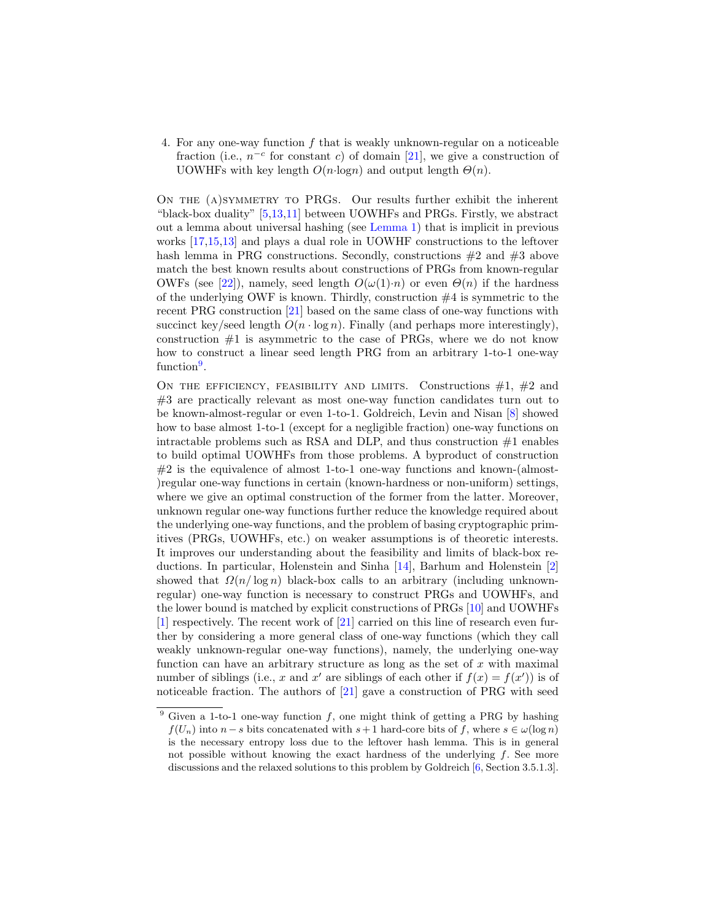4. For any one-way function f that is weakly unknown-regular on a noticeable fraction (i.e.,  $n^{-c}$  for constant c) of domain [\[21\]](#page-19-7), we give a construction of UOWHFs with key length  $O(n \cdot \log n)$  and output length  $\Theta(n)$ .

On the (a)symmetry to PRGs. Our results further exhibit the inherent "black-box duality" [\[5,](#page-18-5)[13](#page-19-2)[,11\]](#page-18-2) between UOWHFs and PRGs. Firstly, we abstract out a lemma about universal hashing (see [Lemma 1\)](#page-7-0) that is implicit in previous works [\[17,](#page-19-0)[15](#page-19-4)[,13\]](#page-19-2) and plays a dual role in UOWHF constructions to the leftover hash lemma in PRG constructions. Secondly, constructions  $#2$  and  $#3$  above match the best known results about constructions of PRGs from known-regular OWFs (see [\[22\]](#page-19-8)), namely, seed length  $O(\omega(1)\cdot n)$  or even  $\Theta(n)$  if the hardness of the underlying OWF is known. Thirdly, construction  $#4$  is symmetric to the recent PRG construction [\[21\]](#page-19-7) based on the same class of one-way functions with succinct key/seed length  $O(n \cdot \log n)$ . Finally (and perhaps more interestingly), construction  $#1$  is asymmetric to the case of PRGs, where we do not know how to construct a linear seed length PRG from an arbitrary 1-to-1 one-way function<sup>[9](#page-3-0)</sup>.

ON THE EFFICIENCY, FEASIBILITY AND LIMITS. Constructions  $#1, #2$  and #3 are practically relevant as most one-way function candidates turn out to be known-almost-regular or even 1-to-1. Goldreich, Levin and Nisan [\[8\]](#page-18-6) showed how to base almost 1-to-1 (except for a negligible fraction) one-way functions on intractable problems such as RSA and DLP, and thus construction  $#1$  enables to build optimal UOWHFs from those problems. A byproduct of construction  $#2$  is the equivalence of almost 1-to-1 one-way functions and known-(almost-)regular one-way functions in certain (known-hardness or non-uniform) settings, where we give an optimal construction of the former from the latter. Moreover, unknown regular one-way functions further reduce the knowledge required about the underlying one-way functions, and the problem of basing cryptographic primitives (PRGs, UOWHFs, etc.) on weaker assumptions is of theoretic interests. It improves our understanding about the feasibility and limits of black-box reductions. In particular, Holenstein and Sinha [\[14\]](#page-19-9), Barhum and Holenstein [\[2\]](#page-18-7) showed that  $\Omega(n/\log n)$  black-box calls to an arbitrary (including unknownregular) one-way function is necessary to construct PRGs and UOWHFs, and the lower bound is matched by explicit constructions of PRGs [\[10\]](#page-18-8) and UOWHFs [\[1\]](#page-18-4) respectively. The recent work of [\[21\]](#page-19-7) carried on this line of research even further by considering a more general class of one-way functions (which they call weakly unknown-regular one-way functions), namely, the underlying one-way function can have an arbitrary structure as long as the set of  $x$  with maximal number of siblings (i.e., x and x' are siblings of each other if  $f(x) = f(x')$ ) is of noticeable fraction. The authors of [\[21\]](#page-19-7) gave a construction of PRG with seed

<span id="page-3-0"></span><sup>&</sup>lt;sup>9</sup> Given a 1-to-1 one-way function f, one might think of getting a PRG by hashing  $f(U_n)$  into  $n-s$  bits concatenated with  $s+1$  hard-core bits of f, where  $s \in \omega(\log n)$ is the necessary entropy loss due to the leftover hash lemma. This is in general not possible without knowing the exact hardness of the underlying  $f$ . See more discussions and the relaxed solutions to this problem by Goldreich [\[6,](#page-18-9) Section 3.5.1.3].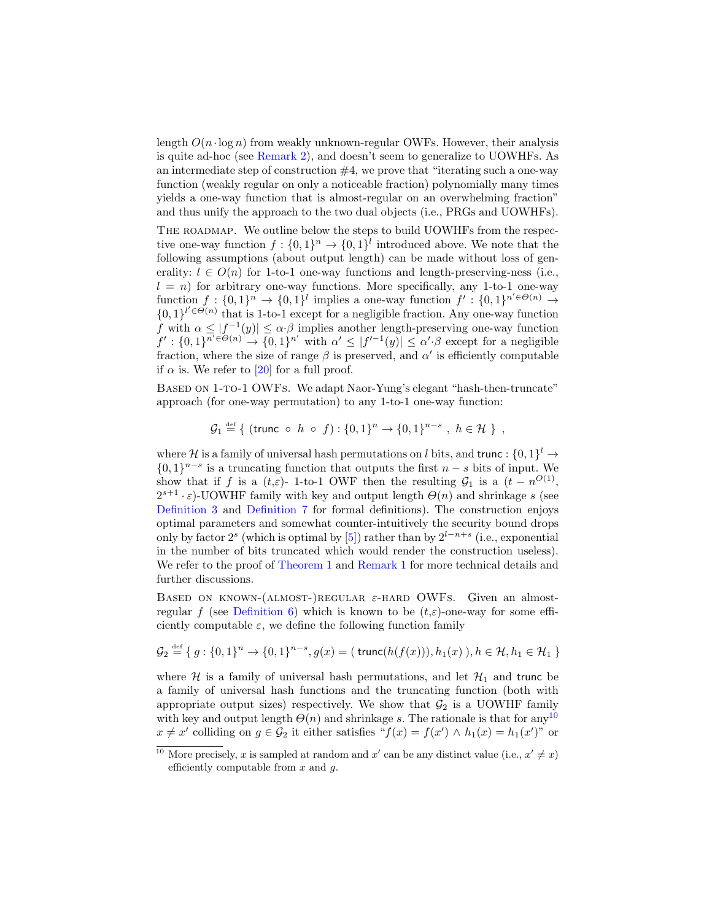length  $O(n \cdot \log n)$  from weakly unknown-regular OWFs. However, their analysis is quite ad-hoc (see [Remark 2\)](#page-15-0), and doesn't seem to generalize to UOWHFs. As an intermediate step of construction  $#4$ , we prove that "iterating such a one-way function (weakly regular on only a noticeable fraction) polynomially many times yields a one-way function that is almost-regular on an overwhelming fraction" and thus unify the approach to the two dual objects (i.e., PRGs and UOWHFs).

The roadmap. We outline below the steps to build UOWHFs from the respective one-way function  $f: \{0,1\}^n \to \{0,1\}^l$  introduced above. We note that the following assumptions (about output length) can be made without loss of generality:  $l \in O(n)$  for 1-to-1 one-way functions and length-preserving-ness (i.e.,  $l = n$ ) for arbitrary one-way functions. More specifically, any 1-to-1 one-way function  $f: \{0,1\}^n \to \{0,1\}^l$  implies a one-way function  $f' : \{0,1\}^{n' \in \Theta(n)} \to$  ${0,1\}^{l' \in \Theta(n)}$  that is 1-to-1 except for a negligible fraction. Any one-way function f with  $\alpha \leq |f^{-1}(y)| \leq \alpha \cdot \beta$  implies another length-preserving one-way function  $f': \{0,1\}^{n' \in \Theta(n)} \to \{0,1\}^{n'}$  with  $\alpha' \leq |f'^{-1}(y)| \leq \alpha' \cdot \beta$  except for a negligible fraction, where the size of range  $\beta$  is preserved, and  $\alpha'$  is efficiently computable if  $\alpha$  is. We refer to [\[20\]](#page-19-10) for a full proof.

BASED ON 1-TO-1 OWFS. We adapt Naor-Yung's elegant "hash-then-truncate" approach (for one-way permutation) to any 1-to-1 one-way function:

$$
\mathcal{G}_1 \stackrel{\text{def}}{=} \{ (\text{trunc } \circ h \circ f) : \{0,1\}^n \to \{0,1\}^{n-s} , h \in \mathcal{H} \},
$$

where H is a family of universal hash permutations on l bits, and trunc :  $\{0,1\}^l \rightarrow$  $\{0,1\}^{n-s}$  is a truncating function that outputs the first  $n-s$  bits of input. We show that if f is a  $(t,\varepsilon)$ - 1-to-1 OWF then the resulting  $\mathcal{G}_1$  is a  $(t - n^{O(1)},$  $2^{s+1} \cdot \varepsilon$ )-UOWHF family with key and output length  $\Theta(n)$  and shrinkage s (see [Definition 3](#page-6-0) and [Definition 7](#page-7-1) for formal definitions). The construction enjoys optimal parameters and somewhat counter-intuitively the security bound drops only by factor  $2^s$  (which is optimal by [\[5\]](#page-18-5)) rather than by  $2^{l-n+s}$  (i.e., exponential in the number of bits truncated which would render the construction useless). We refer to the proof of [Theorem 1](#page-9-0) and [Remark 1](#page-8-1) for more technical details and further discussions.

BASED ON KNOWN-(ALMOST-)REGULAR  $\varepsilon$ -HARD OWFS. Given an almost-regular f (see [Definition 6\)](#page-7-2) which is known to be  $(t,\varepsilon)$ -one-way for some efficiently computable  $\varepsilon$ , we define the following function family

$$
\mathcal{G}_2 \stackrel{\text{def}}{=} \{ g : \{0, 1\}^n \to \{0, 1\}^{n-s}, g(x) = (\text{trunc}(h(f(x))), h_1(x)), h \in \mathcal{H}, h_1 \in \mathcal{H}_1 \}
$$

where  $H$  is a family of universal hash permutations, and let  $H_1$  and trunc be a family of universal hash functions and the truncating function (both with appropriate output sizes) respectively. We show that  $\mathcal{G}_2$  is a UOWHF family with key and output length  $\Theta(n)$  and shrinkage s. The rationale is that for any  $10$  $x \neq x'$  colliding on  $g \in \mathcal{G}_2$  it either satisfies " $f(x) = f(x') \wedge h_1(x) = h_1(x')$ " or

<span id="page-4-0"></span><sup>&</sup>lt;sup>10</sup> More precisely, x is sampled at random and x' can be any distinct value (i.e.,  $x' \neq x$ ) efficiently computable from  $x$  and  $q$ .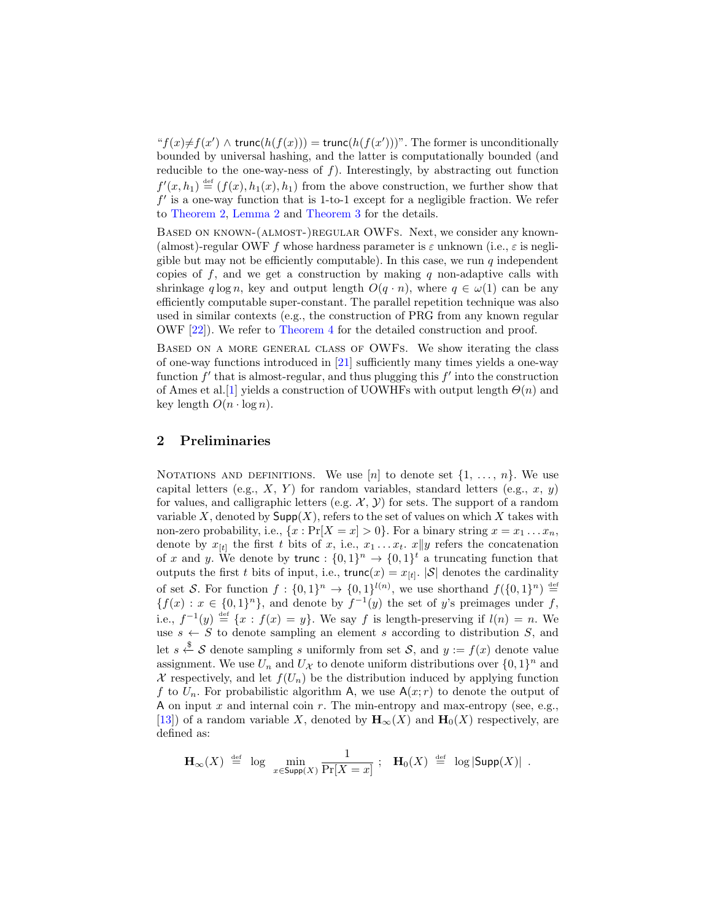" $f(x) \neq f(x') \land \text{trunc}(h(f(x))) = \text{trunc}(h(f(x')))$ ". The former is unconditionally bounded by universal hashing, and the latter is computationally bounded (and reducible to the one-way-ness of  $f$ ). Interestingly, by abstracting out function  $f'(x, h_1) \stackrel{\text{def}}{=} (f(x), h_1(x), h_1)$  from the above construction, we further show that  $f'$  is a one-way function that is 1-to-1 except for a negligible fraction. We refer to [Theorem 2,](#page-11-0) [Lemma 2](#page-11-1) and [Theorem 3](#page-12-0) for the details.

BASED ON KNOWN-(ALMOST-)REGULAR OWFS. Next, we consider any known-(almost)-regular OWF f whose hardness parameter is  $\varepsilon$  unknown (i.e.,  $\varepsilon$  is negligible but may not be efficiently computable). In this case, we run  $q$  independent copies of  $f$ , and we get a construction by making  $q$  non-adaptive calls with shrinkage q log n, key and output length  $O(q \cdot n)$ , where  $q \in \omega(1)$  can be any efficiently computable super-constant. The parallel repetition technique was also used in similar contexts (e.g., the construction of PRG from any known regular OWF [\[22\]](#page-19-8)). We refer to [Theorem 4](#page-13-0) for the detailed construction and proof.

Based on a more general class of OWFs. We show iterating the class of one-way functions introduced in [\[21\]](#page-19-7) sufficiently many times yields a one-way function  $f'$  that is almost-regular, and thus plugging this  $f'$  into the construction of Ames et al. [\[1\]](#page-18-4) yields a construction of UOWHFs with output length  $\Theta(n)$  and key length  $O(n \cdot \log n)$ .

# 2 Preliminaries

NOTATIONS AND DEFINITIONS. We use [n] to denote set  $\{1, \ldots, n\}$ . We use capital letters (e.g.,  $X$ ,  $Y$ ) for random variables, standard letters (e.g.,  $x$ ,  $y$ ) for values, and calligraphic letters (e.g.  $\mathcal{X}, \mathcal{Y}$ ) for sets. The support of a random variable X, denoted by  $\mathsf{Supp}(X)$ , refers to the set of values on which X takes with non-zero probability, i.e.,  $\{x : \Pr[X = x] > 0\}$ . For a binary string  $x = x_1 \dots x_n$ , denote by  $x_{[t]}$  the first t bits of x, i.e.,  $x_1 \ldots x_t$ .  $x||y$  refers the concatenation of x and y. We denote by trunc :  $\{0,1\}^n \rightarrow \{0,1\}^t$  a truncating function that outputs the first t bits of input, i.e.,  $\text{trunc}(x) = x_{[t]}$ .  $|S|$  denotes the cardinality of set S. For function  $f: \{0,1\}^n \to \{0,1\}^{l(n)}$ , we use shorthand  $f(\{0,1\}^n) \stackrel{\text{def}}{=}$  ${f(x) : x \in {0,1}<sup>n</sup>},$  and denote by  $f<sup>-1</sup>(y)$  the set of y's preimages under f, i.e.,  $f^{-1}(y) \stackrel{\text{def}}{=} \{x : f(x) = y\}$ . We say f is length-preserving if  $l(n) = n$ . We use  $s \leftarrow S$  to denote sampling an element s according to distribution S, and let  $s \stackrel{\$}{\leftarrow} S$  denote sampling s uniformly from set  $S$ , and  $y := f(x)$  denote value assignment. We use  $U_n$  and  $U_{\mathcal{X}}$  to denote uniform distributions over  $\{0,1\}^n$  and X respectively, and let  $f(U_n)$  be the distribution induced by applying function f to  $U_n$ . For probabilistic algorithm A, we use  $A(x; r)$  to denote the output of A on input x and internal coin r. The min-entropy and max-entropy (see, e.g., [\[13\]](#page-19-2)) of a random variable X, denoted by  $\mathbf{H}_{\infty}(X)$  and  $\mathbf{H}_{0}(X)$  respectively, are defined as:

$$
\mathbf{H}_\infty(X) \,\, \stackrel{\text{\tiny def}}{=} \,\, \log \,\, \min_{x \in \mathsf{Supp}(X)} \frac{1}{\Pr[X = x]} \,\, ; \ \ \, \mathbf{H}_0(X) \,\, \stackrel{\text{\tiny def}}{=} \,\, \log |\mathsf{Supp}(X)| \,\, .
$$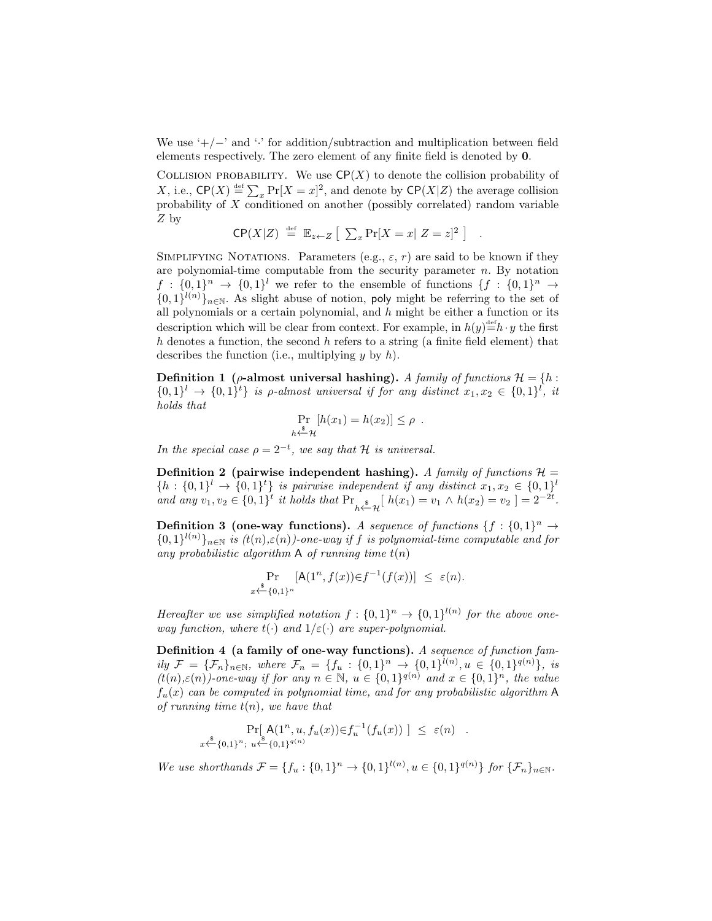We use ' $+/-$ ' and '·' for addition/subtraction and multiplication between field elements respectively. The zero element of any finite field is denoted by 0.

COLLISION PROBABILITY. We use  $\mathsf{CP}(X)$  to denote the collision probability of X, i.e.,  $\mathsf{CP}(X) \stackrel{\text{def}}{=} \sum_x \Pr[X = x]^2$ , and denote by  $\mathsf{CP}(X|Z)$  the average collision probability of  $X$  conditioned on another (possibly correlated) random variable Z by

$$
\mathsf{CP}(X|Z) \stackrel{\text{def}}{=} \mathbb{E}_{z \leftarrow Z} \left[ \sum_{x} \Pr[X = x | Z = z]^2 \right] .
$$

SIMPLIFYING NOTATIONS. Parameters (e.g.,  $\varepsilon$ , r) are said to be known if they are polynomial-time computable from the security parameter  $n$ . By notation  $f: \{0,1\}^n \rightarrow \{0,1\}^l$  we refer to the ensemble of functions  $\{f: \{0,1\}^n \rightarrow$  $\{0,1\}^{l(n)}\}_{n\in\mathbb{N}}$ . As slight abuse of notion, poly might be referring to the set of all polynomials or a certain polynomial, and  $h$  might be either a function or its description which will be clear from context. For example, in  $h(y) = h \cdot y$  the first h denotes a function, the second h refers to a string (a finite field element) that describes the function (i.e., multiplying  $y$  by  $h$ ).

Definition 1 ( $\rho$ -almost universal hashing). A family of functions  $\mathcal{H} = \{h :$  $\{0,1\}^l \rightarrow \{0,1\}^l$  is p-almost universal if for any distinct  $x_1, x_2 \in \{0,1\}^l$ , it holds that

$$
\Pr_{h \stackrel{\$}{\leftarrow} \mathcal{H}} [h(x_1) = h(x_2)] \le \rho .
$$

In the special case  $\rho = 2^{-t}$ , we say that H is universal.

Definition 2 (pairwise independent hashing). A family of functions  $\mathcal{H} =$  $\{h: \{0,1\}^l \to \{0,1\}^t\}$  is pairwise independent if any distinct  $x_1, x_2 \in \{0,1\}^l$ and any  $v_1, v_2 \in \{0, 1\}^t$  it holds that  $Pr_{h \xleftarrow{\$} \mathcal{H}}[h(x_1) = v_1 \wedge h(x_2) = v_2] = 2^{-2t}$ .

<span id="page-6-0"></span>**Definition 3 (one-way functions).** A sequence of functions  $\{f : \{0,1\}^n \to \emptyset\}$  $\{0,1\}^{l(n)}\}_{n\in\mathbb{N}}$  is  $(t(n),\varepsilon(n))$ -one-way if f is polynomial-time computable and for any probabilistic algorithm A of running time  $t(n)$ 

$$
\Pr_{x \stackrel{\$}{\leftarrow} \{0,1\}^n} [\mathsf{A}(1^n, f(x)) \in f^{-1}(f(x))] \leq \varepsilon(n).
$$

Hereafter we use simplified notation  $f: \{0,1\}^n \rightarrow \{0,1\}^{l(n)}$  for the above oneway function, where  $t(\cdot)$  and  $1/\varepsilon(\cdot)$  are super-polynomial.

Definition 4 (a family of one-way functions). A sequence of function family  $\mathcal{F} = {\{\mathcal{F}_n\}}_{n \in \mathbb{N}}$ , where  $\mathcal{F}_n = {\{f_u : {\{0,1\}}^n \to {\{0,1\}}^{l(n)}, u \in {\{0,1\}}^{q(n)}\}},$  is  $(t(n), \varepsilon(n))$ -one-way if for any  $n \in \mathbb{N}$ ,  $u \in \{0, 1\}^{q(n)}$  and  $x \in \{0, 1\}^n$ , the value  $f_u(x)$  can be computed in polynomial time, and for any probabilistic algorithm A of running time  $t(n)$ , we have that

$$
\Pr[\mathsf{A}(1^n, u, f_u(x)) \in f_u^{-1}(f_u(x))] \leq \varepsilon(n) \quad .
$$
  
 $x \xleftarrow{\$} \{0,1\}^{n}; \ u \xleftarrow{\$} \{0,1\}^{q(n)}$ 

We use shorthands  $\mathcal{F} = \{f_u : \{0,1\}^n \to \{0,1\}^{l(n)}, u \in \{0,1\}^{q(n)}\}$  for  $\{\mathcal{F}_n\}_{n \in \mathbb{N}}$ .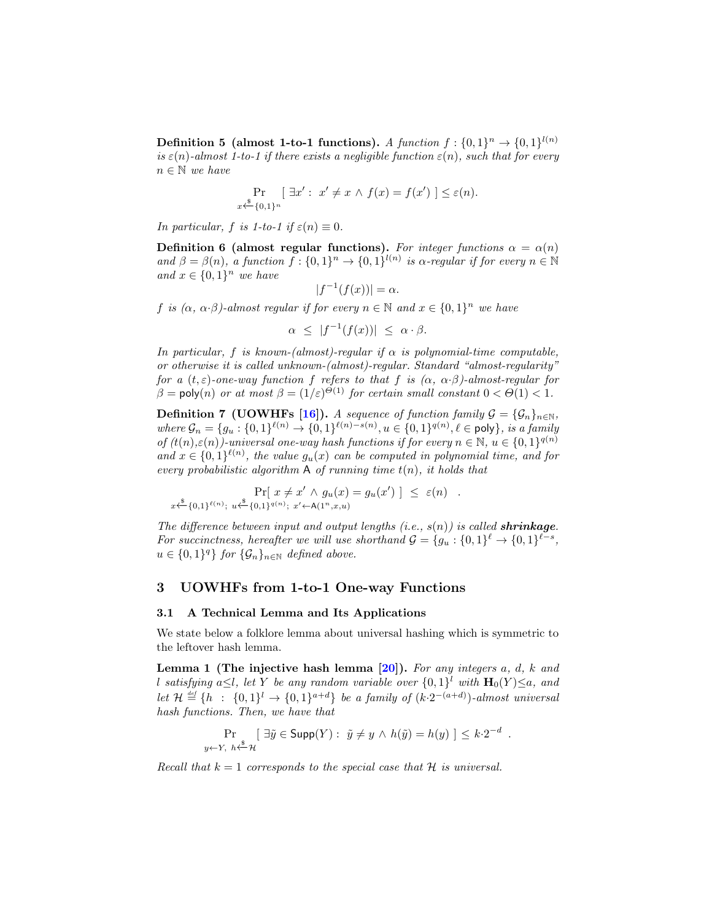**Definition 5** (almost 1-to-1 functions). A function  $f: \{0,1\}^n \rightarrow \{0,1\}^{l(n)}$ is  $\varepsilon(n)$ -almost 1-to-1 if there exists a negligible function  $\varepsilon(n)$ , such that for every  $n \in \mathbb{N}$  we have

$$
\Pr_{x \xleftarrow{\$} \{0,1\}^n} [\exists x' : x' \neq x \land f(x) = f(x') \leq \varepsilon(n).
$$

In particular, f is 1-to-1 if  $\varepsilon(n) \equiv 0$ .

<span id="page-7-2"></span>Definition 6 (almost regular functions). For integer functions  $\alpha = \alpha(n)$ and  $\beta = \beta(n)$ , a function  $f: \{0,1\}^n \to \{0,1\}^{l(n)}$  is  $\alpha$ -regular if for every  $n \in \mathbb{N}$ and  $x \in \{0,1\}^n$  we have

$$
|f^{-1}(f(x))| = \alpha.
$$

f is  $(\alpha, \alpha \cdot \beta)$ -almost regular if for every  $n \in \mathbb{N}$  and  $x \in \{0,1\}^n$  we have

 $\alpha \leq |f^{-1}(f(x))| \leq \alpha \cdot \beta.$ 

In particular, f is known-(almost)-regular if  $\alpha$  is polynomial-time computable, or otherwise it is called unknown-(almost)-regular. Standard "almost-regularity" for a  $(t, \varepsilon)$ -one-way function f refers to that f is  $(\alpha, \alpha, \beta)$ -almost-regular for  $\beta = \text{poly}(n)$  or at most  $\beta = (1/\varepsilon)^{\Theta(1)}$  for certain small constant  $0 < \Theta(1) < 1$ .

<span id="page-7-1"></span>**Definition 7 (UOWHFs [\[16\]](#page-19-5)).** A sequence of function family  $\mathcal{G} = {\mathcal{G}_n}_{n \in \mathbb{N}}$ ,  $where \mathcal{G}_n = \{g_u : \{0,1\}^{\ell(n)} \to \{0,1\}^{\ell(n)-s(n)}, u \in \{0,1\}^{q(n)}, \ell \in \text{poly}\}, is a family$ of  $(t(n), \varepsilon(n))$ -universal one-way hash functions if for every  $n \in \mathbb{N}$ ,  $u \in \{0, 1\}^{q(n)}$ and  $x \in \{0,1\}^{\ell(n)}$ , the value  $g_u(x)$  can be computed in polynomial time, and for every probabilistic algorithm  $A$  of running time  $t(n)$ , it holds that

$$
\Pr[x \neq x' \land g_u(x) = g_u(x')] \leq \varepsilon(n) \quad .
$$
  
 $x \stackrel{\$}{\leftarrow} \{0,1\}^{\ell(n)}; u \stackrel{\$}{\leftarrow} \{0,1\}^{\ell(n)}; x' \leftarrow A(1^n, x, u)$ 

The difference between input and output lengths  $(i.e., s(n))$  is called **shrinkage**. For succinctness, hereafter we will use shorthand  $\mathcal{G} = \{g_u : \{0,1\}^{\ell} \to \{0,1\}^{\ell-s},\}$  $u \in \{0,1\}^q\}$  for  $\{\mathcal{G}_n\}_{n \in \mathbb{N}}$  defined above.

## 3 UOWHFs from 1-to-1 One-way Functions

#### 3.1 A Technical Lemma and Its Applications

We state below a folklore lemma about universal hashing which is symmetric to the leftover hash lemma.

<span id="page-7-0"></span>Lemma 1 (The injective hash lemma  $[20]$ ). For any integers a, d, k and l satisfying a $\leq l$ , let Y be any random variable over  $\{0,1\}^l$  with  $\mathbf{H}_0(Y) \leq a$ , and let  $\mathcal{H} \stackrel{\text{\tiny def}}{=} \{h : \{0,1\}^l \to \{0,1\}^{a+d}\}\$ be a family of  $(k \cdot 2^{-(a+d)})$ -almost universal hash functions. Then, we have that

$$
\Pr_{y \leftarrow Y, h \xleftarrow{\$} \mathcal{H}} [\exists \tilde{y} \in \mathsf{Supp}(Y) : \tilde{y} \neq y \land h(\tilde{y}) = h(y)] \leq k \cdot 2^{-d}
$$

.

Recall that  $k = 1$  corresponds to the special case that  $H$  is universal.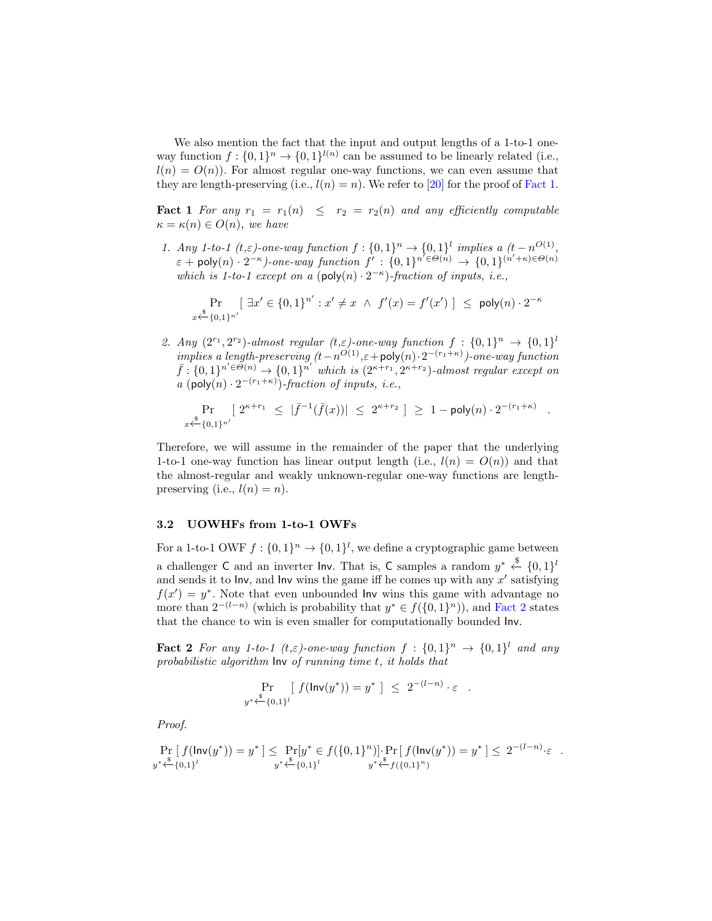We also mention the fact that the input and output lengths of a 1-to-1 oneway function  $f: \{0,1\}^n \to \{0,1\}^{l(n)}$  can be assumed to be linearly related (i.e.,  $l(n) = O(n)$ . For almost regular one-way functions, we can even assume that they are length-preserving (i.e.,  $l(n) = n$ ). We refer to [\[20\]](#page-19-10) for the proof of [Fact 1.](#page-8-0)

<span id="page-8-0"></span>**Fact 1** For any  $r_1 = r_1(n) \leq r_2 = r_2(n)$  and any efficiently computable  $\kappa = \kappa(n) \in O(n)$ , we have

1. Any 1-to-1  $(t,\varepsilon)$ -one-way function  $f: \{0,1\}^n \to \{0,1\}^l$  implies a  $(t-n^{O(1)},$  $\varepsilon + \text{poly}(n) \cdot 2^{-\kappa}$ )-one-way function  $f': \{0,1\}^{n' \in \Theta(n)} \to \{0,1\}^{(n'+\kappa) \in \Theta(n)}$ which is 1-to-1 except on a  $(\text{poly}(n) \cdot 2^{-\kappa})$ -fraction of inputs, i.e.,

$$
\Pr_{x \stackrel{\$}{\leftarrow} \{0,1\}^{n'}} [\exists x' \in \{0,1\}^{n'} : x' \neq x \ \land \ f'(x) = f'(x') \ ] \leq \ \mathsf{poly}(n) \cdot 2^{-\kappa}
$$

2. Any  $(2^{r_1}, 2^{r_2})$ -almost regular  $(t,\varepsilon)$ -one-way function  $f: \{0,1\}^n \to \{0,1\}^l$ implies a length-preserving  $(t - n^{O(1)}, \varepsilon + \text{poly}(n) \cdot 2^{-(r_1 + \kappa)})$ -one-way function  $\bar{f}: \{0,1\}^{n' \in \tilde{\Theta}(n)} \rightarrow \{0,1\}^{n'}$  which is  $(2^{\kappa+r_1}, 2^{\kappa+r_2})$ -almost regular except on a (poly $(n) \cdot 2^{-(r_1+\kappa)}$ )-fraction of inputs, i.e.,

$$
\Pr_{x \stackrel{\$}{\leftarrow} \{0,1\}^{n'}} [\ 2^{\kappa+r_1} \leq |\bar{f}^{-1}(\bar{f}(x))| \leq 2^{\kappa+r_2} \ ] \geq 1 - \text{poly}(n) \cdot 2^{-(r_1+\kappa)}
$$

.

Therefore, we will assume in the remainder of the paper that the underlying 1-to-1 one-way function has linear output length (i.e.,  $l(n) = O(n)$ ) and that the almost-regular and weakly unknown-regular one-way functions are lengthpreserving (i.e.,  $l(n) = n$ ).

#### 3.2 UOWHFs from 1-to-1 OWFs

For a 1-to-1 OWF  $f: \{0,1\}^n \to \{0,1\}^l$ , we define a cryptographic game between a challenger C and an inverter lnv. That is, C samples a random  $y^* \stackrel{\$}{\leftarrow} \{0,1\}^l$ and sends it to lnv, and lnv wins the game iff he comes up with any  $x'$  satisfying  $f(x') = y^*$ . Note that even unbounded lnv wins this game with advantage no more than  $2^{-(l-n)}$  (which is probability that  $y^* \in f(\{0,1\}^n)$ ), and [Fact 2](#page-8-2) states that the chance to win is even smaller for computationally bounded Inv.

<span id="page-8-2"></span>**Fact 2** For any 1-to-1  $(t,\varepsilon)$ -one-way function  $f: \{0,1\}^n \rightarrow \{0,1\}^l$  and any probabilistic algorithm Inv of running time t, it holds that

$$
\Pr_{y^* \xleftarrow{\$} \{0,1\}^l} [ f(\mathsf{Inv}(y^*)) = y^* ] \leq 2^{-(l-n)} \cdot \varepsilon .
$$

Proof.

<span id="page-8-1"></span>
$$
\Pr_{y^* \stackrel{\$}{\longleftrightarrow} \{0,1\}^l} f(\mathsf{Inv}(y^*)) = y^* \leq \Pr_{y^* \stackrel{\$}{\longleftrightarrow} \{0,1\}^l} [y^* \in f(\{0,1\}^n)] \cdot \Pr_{y^* \stackrel{\$}{\longleftrightarrow} f(\{0,1\}^n)} = y^* \leq 2^{-(l-n)} \cdot \varepsilon.
$$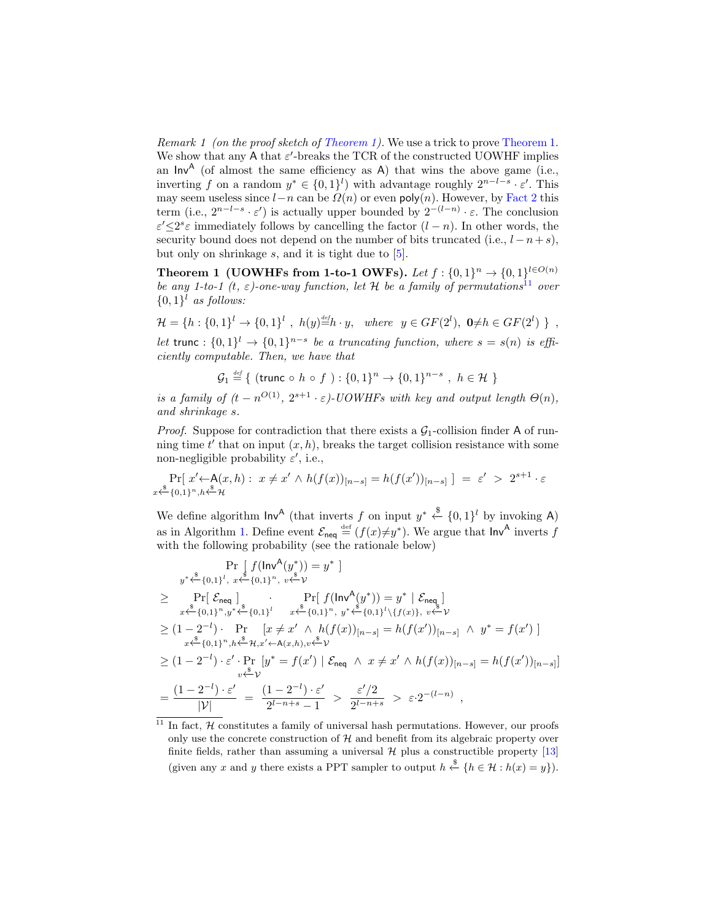Remark 1 (on the proof sketch of [Theorem 1\)](#page-9-0). We use a trick to prove [Theorem 1.](#page-9-0) We show that any A that  $\varepsilon'$ -breaks the TCR of the constructed UOWHF implies an  $Inv^A$  (of almost the same efficiency as A) that wins the above game (i.e., inverting f on a random  $y^* \in \{0,1\}^l$  with advantage roughly  $2^{n-l-s} \cdot \varepsilon'$ . This may seem useless since  $l-n$  can be  $\Omega(n)$  or even poly $(n)$ . However, by [Fact 2](#page-8-2) this term (i.e.,  $2^{n-l-s} \cdot \varepsilon'$ ) is actually upper bounded by  $2^{-(l-n)} \cdot \varepsilon$ . The conclusion  $\varepsilon' \leq 2^s \varepsilon$  immediately follows by cancelling the factor  $(l - n)$ . In other words, the security bound does not depend on the number of bits truncated (i.e.,  $l - n + s$ ), but only on shrinkage  $s$ , and it is tight due to  $[5]$ .

<span id="page-9-0"></span>Theorem 1 (UOWHFs from 1-to-1 OWFs). Let  $f: \{0,1\}^n \rightarrow \{0,1\}^{l \in O(n)}$ be any 1-to-1 (t,  $\varepsilon$ )-one-way function, let H be a family of permutations<sup>[11](#page-9-1)</sup> over  $\{0,1\}$ <sup>l</sup> as follows:

 $\mathcal{H} = \{h : \{0,1\}^l \to \{0,1\}^l, h(y) \stackrel{\text{def}}{=} h \cdot y, \text{ where } y \in GF(2^l), 0 \neq h \in GF(2^l) \}$ , let trunc :  $\{0,1\}$ <sup>l</sup>  $\rightarrow$   $\{0,1\}$ <sup>n-s</sup> be a truncating function, where  $s = s(n)$  is efficiently computable. Then, we have that

 $\mathcal{G}_1 \stackrel{\text{\tiny def}}{=} \{$  (trunc  $\circ h \circ f : \{0,1\}^n \to \{0,1\}^{n-s} , h \in \mathcal{H} \}$ 

is a family of  $(t - n^{O(1)}, 2^{s+1} \cdot \varepsilon)$ -UOWHFs with key and output length  $\Theta(n)$ , and shrinkage s.

*Proof.* Suppose for contradiction that there exists a  $\mathcal{G}_1$ -collision finder A of running time  $t'$  that on input  $(x, h)$ , breaks the target collision resistance with some non-negligible probability  $\varepsilon'$ , i.e.,

$$
\Pr[x' \leftarrow A(x, h): x \neq x' \land h(f(x))_{[n-s]} = h(f(x'))_{[n-s]} \; = \; \varepsilon' > 2^{s+1} \cdot \varepsilon
$$

We define algorithm  $\mathsf{Inv}^{\mathsf{A}}$  (that inverts f on input  $y^* \stackrel{\$}{\leftarrow} \{0,1\}^l$  by invoking A) as in Algorithm [1.](#page-10-0) Define event  $\mathcal{E}_{\text{neq}} \stackrel{\text{def}}{=} (f(x) \neq y^*)$ . We argue that  $\text{Inv}^{\mathsf{A}}$  inverts f with the following probability (see the rationale below)

$$
\Pr\left[f(\ln v^{A}(y^{*}))=y^{*}\right]
$$
\n
$$
\geq \Pr\left[\mathcal{E}_{\text{neq}}\right] \cdot \Pr\left[f(\ln v^{A}(y^{*}))=y^{*}\right] \cdot \sum_{x\stackrel{k}{\leftarrow}} \Pr\left[\mathcal{E}_{\text{neq}}\right] \cdot \Pr\left[\mathcal{E}_{\text{neq}}\right] \cdot \sum_{x\stackrel{k}{\leftarrow}} \Pr\left[\mathcal{E}_{\text{neq}}\right] \cdot \sum_{x\stackrel{k}{\leftarrow}} \Pr\left[\mathcal{E}(\ln v^{A}(y^{*}))=y^{*}\right] \cdot \sum_{x\stackrel{k}{\leftarrow}} \mathcal{E}_{\text{neq}}\right]
$$
\n
$$
\geq (1-2^{-l}) \cdot \Pr\left[x \neq x' \land h(f(x))_{[n-s]} = h(f(x'))_{[n-s]} \land y^{*} = f(x')\right]
$$
\n
$$
\geq (1-2^{-l}) \cdot \mathcal{E}' \cdot \Pr\left[y^{*} = f(x')\right] \cdot \mathcal{E}_{\text{neq}} \wedge x \neq x' \land h(f(x))_{[n-s]} = h(f(x'))_{[n-s]} = h(f(x'))_{[n-s]}
$$
\n
$$
\geq (1-2^{-l}) \cdot \mathcal{E}' \cdot \Pr\left[y^{*} = f(x')\right] \cdot \mathcal{E}_{\text{neq}} \wedge x \neq x' \land h(f(x))_{[n-s]} = h(f(x'))_{[n-s]}
$$
\n
$$
= \frac{(1-2^{-l}) \cdot \mathcal{E}'}{|y|} = \frac{(1-2^{-l}) \cdot \mathcal{E}'}{2^{l-n+s}-1} > \frac{\mathcal{E}'/2}{2^{l-n+s}} > \mathcal{E} \cdot 2^{-(l-n)},
$$

<span id="page-9-1"></span> $11$  In fact,  $H$  constitutes a family of universal hash permutations. However, our proofs only use the concrete construction of  $H$  and benefit from its algebraic property over finite fields, rather than assuming a universal  $\mathcal H$  plus a constructible property [\[13\]](#page-19-2) (given any x and y there exists a PPT sampler to output  $h \stackrel{\$}{\leftarrow} \{h \in \mathcal{H} : h(x) = y\}.$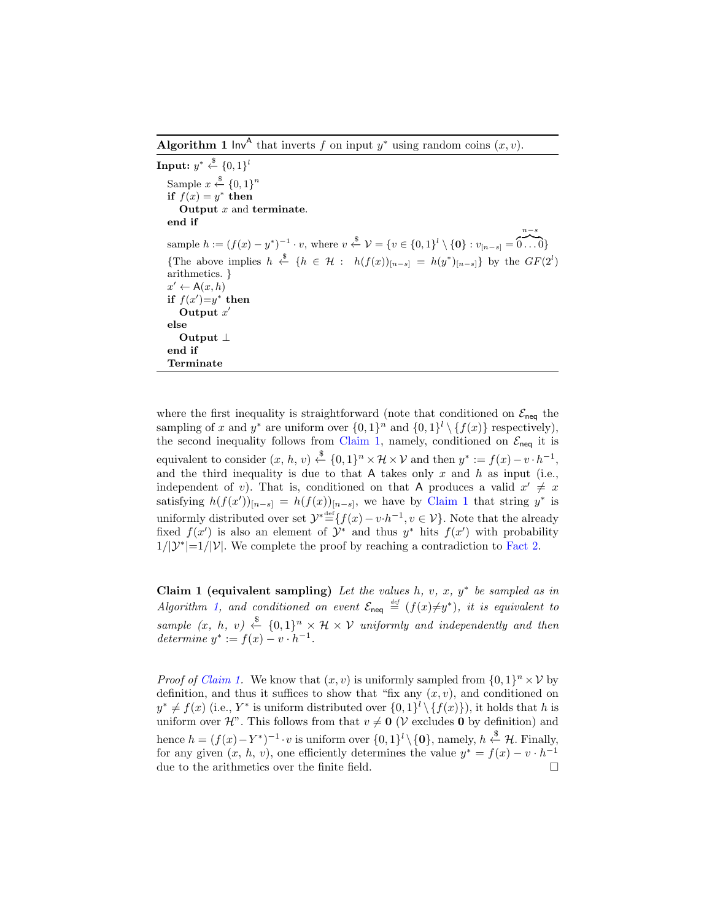<span id="page-10-0"></span>**Algorithm 1** lnv<sup>A</sup> that inverts f on input  $y^*$  using random coins  $(x, v)$ .

 $\textbf{Input: } y^* \overset{\$}{\leftarrow} \{0,1\}^l$ Sample  $x \stackrel{\$}{\leftarrow} \{0,1\}^n$ if  $f(x) = y^*$  then Output  $x$  and terminate. end if sample  $h := (f(x) - y^*)^{-1} \cdot v$ , where  $v \stackrel{\$}{\leftarrow} \mathcal{V} = \{v \in \{0,1\}^l \setminus \{\mathbf{0}\} : v_{[n-s]} =$ n−s  $\overline{0...0}$ {The above implies  $h \stackrel{\$}{\leftarrow} \{h \in \mathcal{H} : h(f(x))_{[n-s]} = h(y^*)_{[n-s]} \}$  by the  $GF(2^l)$ arithmetics. }  $x' \leftarrow A(x, h)$ if  $f(x')=y^*$  then Output  $x'$ else Output ⊥ end if Terminate

where the first inequality is straightforward (note that conditioned on  $\mathcal{E}_{\text{neq}}$  the sampling of x and y<sup>\*</sup> are uniform over  $\{0,1\}^n$  and  $\{0,1\}^l \setminus \{f(x)\}$  respectively), the second inequality follows from [Claim 1,](#page-10-1) namely, conditioned on  $\mathcal{E}_{\text{neq}}$  it is equivalent to consider  $(x, h, v) \stackrel{\$}{\leftarrow} \{0, 1\}^n \times \mathcal{H} \times \mathcal{V}$  and then  $y^* := f(x) - v \cdot h^{-1}$ , and the third inequality is due to that A takes only  $x$  and  $h$  as input (i.e., independent of v). That is, conditioned on that A produces a valid  $x' \neq x$ satisfying  $h(f(x'))_{[n-s]} = h(f(x))_{[n-s]}$ , we have by [Claim 1](#page-10-1) that string y<sup>\*</sup> is uniformly distributed over set  $\mathcal{Y}^* \stackrel{\text{def}}{=} \{f(x) - v \cdot h^{-1}, v \in \mathcal{V}\}\.$  Note that the already fixed  $f(x')$  is also an element of  $\mathcal{Y}^*$  and thus  $y^*$  hits  $f(x')$  with probability  $1/|\mathcal{Y}^*|=1/|\mathcal{V}|$ . We complete the proof by reaching a contradiction to [Fact 2.](#page-8-2)

<span id="page-10-1"></span>Claim 1 (equivalent sampling) Let the values  $h, v, x, y^*$  be sampled as in Algorithm [1,](#page-10-0) and conditioned on event  $\mathcal{E}_{\text{neq}} \stackrel{\text{def}}{=} (f(x)\neq y^*)$ , it is equivalent to sample  $(x, h, v) \stackrel{\$}{\leftarrow} \{0, 1\}^n \times \mathcal{H} \times \mathcal{V}$  uniformly and independently and then determine  $y^* := f(x) - v \cdot h^{-1}$ .

*Proof of Claim 1*. We know that  $(x, v)$  is uniformly sampled from  $\{0, 1\}^n \times V$  by definition, and thus it suffices to show that "fix any  $(x, v)$ , and conditioned on  $y^* \neq f(x)$  (i.e., Y<sup>\*</sup> is uniform distributed over  $\{0,1\}^l \setminus \{f(x)\}\)$ , it holds that h is uniform over H". This follows from that  $v \neq 0$  (V excludes 0 by definition) and hence  $h = (f(x) - Y^*)^{-1} \cdot v$  is uniform over  $\{0,1\}^l \setminus \{\mathbf{0}\}$ , namely,  $h \stackrel{\$}{\leftarrow} \mathcal{H}$ . Finally, for any given  $(x, h, v)$ , one efficiently determines the value  $y^* = f(x) - v \cdot h^{-1}$ due to the arithmetics over the finite field.  $\Box$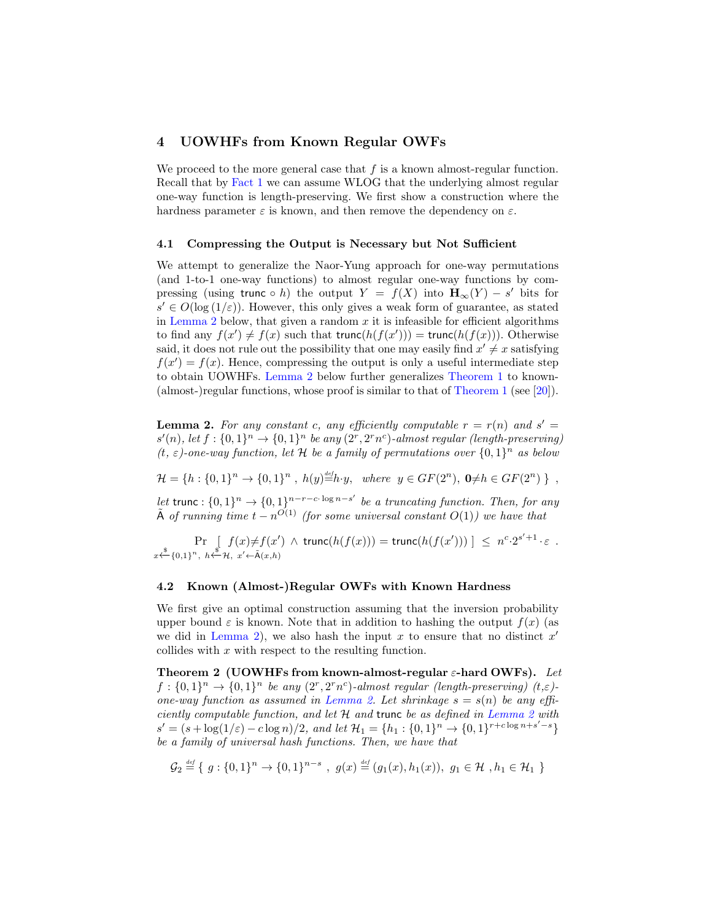# 4 UOWHFs from Known Regular OWFs

We proceed to the more general case that  $f$  is a known almost-regular function. Recall that by [Fact 1](#page-8-0) we can assume WLOG that the underlying almost regular one-way function is length-preserving. We first show a construction where the hardness parameter  $\varepsilon$  is known, and then remove the dependency on  $\varepsilon$ .

#### 4.1 Compressing the Output is Necessary but Not Sufficient

We attempt to generalize the Naor-Yung approach for one-way permutations (and 1-to-1 one-way functions) to almost regular one-way functions by compressing (using trunc ∘ h) the output  $Y = f(X)$  into  $H_{\infty}(Y) - s'$  bits for  $s' \in O(\log{(1/\varepsilon)})$ . However, this only gives a weak form of guarantee, as stated in [Lemma 2](#page-11-1) below, that given a random  $x$  it is infeasible for efficient algorithms to find any  $f(x') \neq f(x)$  such that trunc $(h(f(x')))$  = trunc $(h(f(x)))$ . Otherwise said, it does not rule out the possibility that one may easily find  $x' \neq x$  satisfying  $f(x') = f(x)$ . Hence, compressing the output is only a useful intermediate step to obtain UOWHFs. [Lemma 2](#page-11-1) below further generalizes [Theorem 1](#page-9-0) to known- (almost-)regular functions, whose proof is similar to that of [Theorem 1](#page-9-0) (see [\[20\]](#page-19-10)).

<span id="page-11-1"></span>**Lemma 2.** For any constant c, any efficiently computable  $r = r(n)$  and  $s' =$  $s'(n)$ , let  $f: \{0,1\}^n \to \{0,1\}^n$  be any  $(2^r, 2^r n^c)$ -almost regular (length-preserving) (t,  $\varepsilon$ )-one-way function, let H be a family of permutations over  $\{0,1\}^n$  as below

 $\mathcal{H} = \{h : \{0,1\}^n \to \{0,1\}^n, h(y) \stackrel{\text{def}}{=} h \cdot y, \text{ where } y \in GF(2^n), 0 \neq h \in GF(2^n) \}$ ,

let trunc :  $\{0,1\}^n \rightarrow \{0,1\}^{n-r-c \cdot \log n-s'}$  be a truncating function. Then, for any  $\tilde{A}$  of running time  $t - n^{O(1)}$  (for some universal constant  $O(1)$ ) we have that

Pr  $x \stackrel{\$}{\leftarrow} \{0,1\}^n$ ,  $h \stackrel{\$}{\leftarrow} \mathcal{H}$ ,  $x' \leftarrow \tilde{A}(x,h)$  $\left[ f(x) \neq f(x') \land \text{trunc}(h(f(x))) = \text{trunc}(h(f(x'))) \right] \leq n^c \cdot 2^{s'+1} \cdot \varepsilon$ .

#### <span id="page-11-2"></span>4.2 Known (Almost-)Regular OWFs with Known Hardness

We first give an optimal construction assuming that the inversion probability upper bound  $\varepsilon$  is known. Note that in addition to hashing the output  $f(x)$  (as we did in [Lemma 2\)](#page-11-1), we also hash the input  $x$  to ensure that no distinct  $x'$ collides with  $x$  with respect to the resulting function.

<span id="page-11-0"></span>Theorem 2 (UOWHFs from known-almost-regular  $\varepsilon$ -hard OWFs). Let  $f: \{0,1\}^n \rightarrow \{0,1\}^n$  be any  $(2^r, 2^r n^c)$ -almost regular (length-preserving)  $(t,\varepsilon)$ -one-way function as assumed in [Lemma 2.](#page-11-1) Let shrinkage  $s = s(n)$  be any efficiently computable function, and let  $H$  and trunc be as defined in [Lemma 2](#page-11-1) with  $s' = (s + \log(1/\varepsilon) - c \log n)/2$ , and let  $\mathcal{H}_1 = \{h_1 : \{0, 1\}^n \to \{0, 1\}^{r + c \log n + s' - s}\}\$ be a family of universal hash functions. Then, we have that

$$
\mathcal{G}_2 \stackrel{\text{def}}{=} \{ g : \{0,1\}^n \to \{0,1\}^{n-s} , g(x) \stackrel{\text{def}}{=} (g_1(x), h_1(x)), g_1 \in \mathcal{H} , h_1 \in \mathcal{H}_1 \}
$$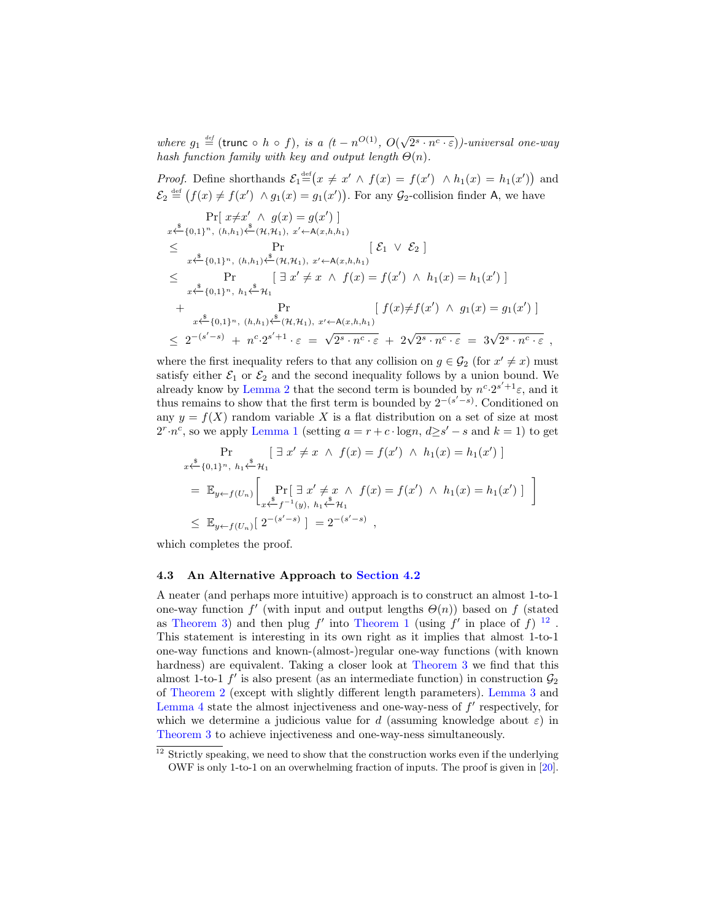where  $g_1 \stackrel{\text{def}}{=}$  (trunc  $\circ$  h  $\circ$  f), is a  $(t - n^{O(1)}, O($ √  $\overline{(2^s \cdot n^c \cdot \varepsilon)})$ -universal one-way hash function family with key and output length  $\Theta(n)$ .

*Proof.* Define shorthands  $\mathcal{E}_1^{\text{def}}(x \neq x' \land f(x) = f(x') \land h_1(x) = h_1(x')$  and  $\mathcal{E}_2 \stackrel{\text{def}}{=} (f(x) \neq f(x') \land g_1(x) = g_1(x'))$ . For any  $\mathcal{G}_2$ -collision finder A, we have

$$
\Pr[x \neq x' \land g(x) = g(x')]
$$
\n
$$
x \xleftarrow{\$} \{0,1\}^n, (h,h_1) \xleftarrow{\$} (\mathcal{H}, \mathcal{H}_1), x' \leftarrow A(x,h,h_1)
$$
\n
$$
\leq \Pr \qquad [\mathcal{E}_1 \lor \mathcal{E}_2]
$$
\n
$$
x \xleftarrow{\$} \{0,1\}^n, (h,h_1) \xleftarrow{\$} (\mathcal{H}, \mathcal{H}_1), x' \leftarrow A(x,h,h_1)
$$
\n
$$
\leq \Pr \qquad [\exists x' \neq x \land f(x) = f(x') \land h_1(x) = h_1(x')]
$$
\n
$$
+ \Pr \qquad \qquad \Pr \qquad [\ f(x) \neq f(x') \land g_1(x) = g_1(x')]
$$
\n
$$
+ \xleftarrow{\$} \{0,1\}^n, (h,h_1) \xleftarrow{\$} (\mathcal{H}, \mathcal{H}_1), x' \leftarrow A(x,h,h_1)
$$
\n
$$
\leq 2^{-(s'-s)} + n^c \cdot 2^{s'+1} \cdot \varepsilon = \sqrt{2^s \cdot n^c \cdot \varepsilon} + 2\sqrt{2^s \cdot n^c \cdot \varepsilon} = 3\sqrt{2^s \cdot n^c \cdot \varepsilon} ,
$$

where the first inequality refers to that any collision on  $g \in \mathcal{G}_2$  (for  $x' \neq x$ ) must satisfy either  $\mathcal{E}_1$  or  $\mathcal{E}_2$  and the second inequality follows by a union bound. We already know by [Lemma 2](#page-11-1) that the second term is bounded by  $n^c \cdot 2^{s'+1} \varepsilon$ , and it thus remains to show that the first term is bounded by  $2^{-(s'-s)}$ . Conditioned on any  $y = f(X)$  random variable X is a flat distribution on a set of size at most  $2^r \cdot n^c$ , so we apply [Lemma 1](#page-7-0) (setting  $a = r + c \cdot \log n$ ,  $d \ge s' - s$  and  $k = 1$ ) to get

$$
\Pr_{x \stackrel{\$}{\leftarrow} \{0,1\}^n, \ h_1 \stackrel{\$}{\leftarrow} \mathcal{H}_1} [\exists x' \neq x \land f(x) = f(x') \land h_1(x) = h_1(x')]
$$
\n
$$
= \mathbb{E}_{y \leftarrow f(U_n)} \left[ \Pr_{x \stackrel{\$}{\leftarrow} f^{-1}(y), \ h_1 \stackrel{\$}{\leftarrow} \mathcal{H}_1} \exists x' \neq x \land f(x) = f(x') \land h_1(x) = h_1(x') \right] \right]
$$
\n
$$
\leq \mathbb{E}_{y \leftarrow f(U_n)} [2^{-(s'-s)}] = 2^{-(s'-s)} ,
$$

which completes the proof.

#### 4.3 An Alternative Approach to [Section 4.2](#page-11-2)

A neater (and perhaps more intuitive) approach is to construct an almost 1-to-1 one-way function  $f'$  (with input and output lengths  $\Theta(n)$ ) based on f (stated as [Theorem 3\)](#page-12-0) and then plug f' into [Theorem 1](#page-9-0) (using f' in place of f)  $^{12}$  $^{12}$  $^{12}$ . This statement is interesting in its own right as it implies that almost 1-to-1 one-way functions and known-(almost-)regular one-way functions (with known hardness) are equivalent. Taking a closer look at [Theorem 3](#page-12-0) we find that this almost 1-to-1  $f'$  is also present (as an intermediate function) in construction  $\mathcal{G}_2$ of [Theorem 2](#page-11-0) (except with slightly different length parameters). [Lemma 3](#page-13-1) and [Lemma 4](#page-13-2) state the almost injectiveness and one-way-ness of  $f'$  respectively, for which we determine a judicious value for d (assuming knowledge about  $\varepsilon$ ) in [Theorem 3](#page-12-0) to achieve injectiveness and one-way-ness simultaneously.

<span id="page-12-1"></span><span id="page-12-0"></span> $12$  Strictly speaking, we need to show that the construction works even if the underlying OWF is only 1-to-1 on an overwhelming fraction of inputs. The proof is given in [\[20\]](#page-19-10).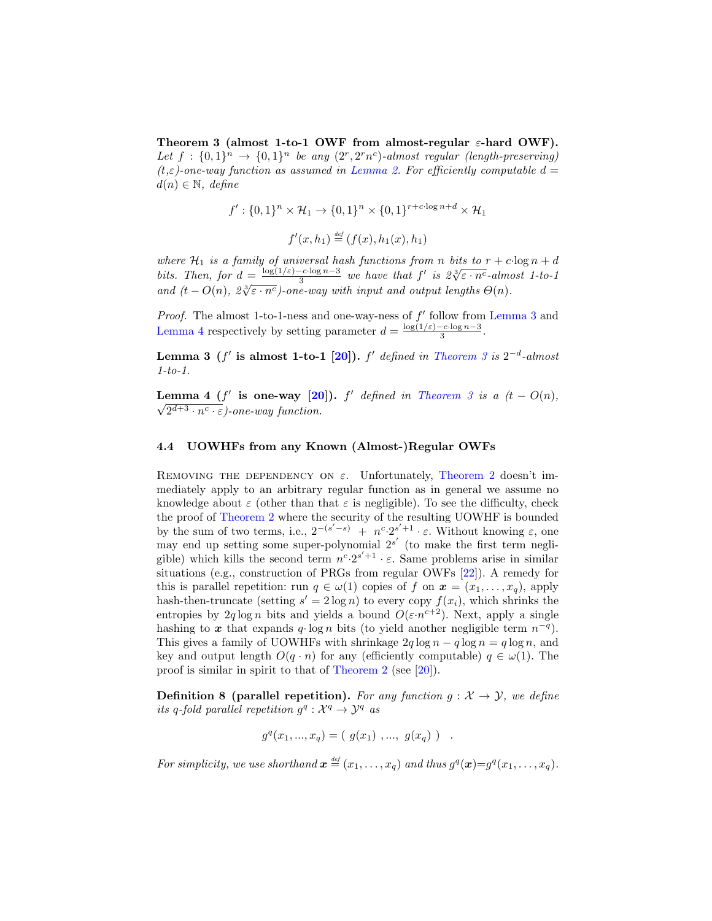Theorem 3 (almost 1-to-1 OWF from almost-regular  $\varepsilon$ -hard OWF). Let  $f: \{0,1\}^n \rightarrow \{0,1\}^n$  be any  $(2^r, 2^r n^c)$ -almost regular (length-preserving)  $(t,\varepsilon)$ -one-way function as assumed in [Lemma 2.](#page-11-1) For efficiently computable  $d=$  $d(n) \in \mathbb{N}$ , define

$$
f': \{0,1\}^n \times \mathcal{H}_1 \to \{0,1\}^n \times \{0,1\}^{r+c \cdot \log n + d} \times \mathcal{H}_1
$$

$$
f'(x, h_1) \stackrel{\text{def}}{=} (f(x), h_1(x), h_1)
$$

where  $\mathcal{H}_1$  is a family of universal hash functions from n bits to  $r + c \log n + d$ bits. Then, for  $d = \frac{\log(1/\varepsilon) - c \cdot \log n - 3}{3}$ bersal hash fanctions from n ons to  $r + c \log n + u$ <br>  $\frac{c \cdot \log n - 3}{3}$  we have that  $f'$  is  $2\sqrt[3]{\varepsilon \cdot n^c}$ -almost 1-to-1 and  $(t - O(n), \ \frac{\partial \sqrt{\varepsilon \cdot n^c}}{\partial \varepsilon}$ -one-way with input and output lengths  $\Theta(n)$ .

*Proof.* The almost 1-to-1-ness and one-way-ness of  $f'$  follow from [Lemma 3](#page-13-1) and [Lemma 4](#page-13-2) respectively by setting parameter  $d = \frac{\log(1/\varepsilon) - c \cdot \log n - 3}{3}$  $\frac{-c \cdot \log n - 3}{3}$ .

<span id="page-13-1"></span>**Lemma 3** (f' is almost 1-to-1 [\[20\]](#page-19-10)). f' defined in [Theorem 3](#page-12-0) is  $2^{-d}$ -almost 1-to-1.

<span id="page-13-2"></span>**Lemma 4** (f' is one-way [\[20\]](#page-19-10)). f' defined in [Theorem 3](#page-12-0) is a  $(t - O(n))$ ,  $2^{d+3} \cdot n^c \cdot \varepsilon$ )-one-way function.

#### 4.4 UOWHFs from any Known (Almost-)Regular OWFs

REMOVING THE DEPENDENCY ON  $\varepsilon$ . Unfortunately, [Theorem 2](#page-11-0) doesn't immediately apply to an arbitrary regular function as in general we assume no knowledge about  $\varepsilon$  (other than that  $\varepsilon$  is negligible). To see the difficulty, check the proof of [Theorem 2](#page-11-0) where the security of the resulting UOWHF is bounded by the sum of two terms, i.e.,  $2^{-(s'-s)} + n^c \cdot 2^{s'+1} \cdot \varepsilon$ . Without knowing  $\varepsilon$ , one may end up setting some super-polynomial  $2^{s'}$  (to make the first term negligible) which kills the second term  $n^c \tcdot 2^{s'+1} \tcdot \varepsilon$ . Same problems arise in similar situations (e.g., construction of PRGs from regular OWFs [\[22\]](#page-19-8)). A remedy for this is parallel repetition: run  $q \in \omega(1)$  copies of f on  $\mathbf{x} = (x_1, \ldots, x_q)$ , apply hash-then-truncate (setting  $s' = 2 \log n$ ) to every copy  $f(x_i)$ , which shrinks the entropies by  $2q \log n$  bits and yields a bound  $O(\varepsilon \cdot n^{c+2})$ . Next, apply a single hashing to x that expands q· log n bits (to yield another negligible term  $n^{-q}$ ). This gives a family of UOWHFs with shrinkage  $2q \log n - q \log n = q \log n$ , and key and output length  $O(q \cdot n)$  for any (efficiently computable)  $q \in \omega(1)$ . The proof is similar in spirit to that of [Theorem 2](#page-11-0) (see [\[20\]](#page-19-10)).

**Definition 8 (parallel repetition).** For any function  $g: \mathcal{X} \to \mathcal{Y}$ , we define its q-fold parallel repetition  $g^q : \mathcal{X}^q \to \mathcal{Y}^q$  as

 $g^q(x_1, ..., x_q) = (g(x_1), ..., g(x_q))$ .

<span id="page-13-0"></span>For simplicity, we use shorthand  $\boldsymbol{x} \stackrel{\text{\tiny def}}{=} (x_1, \ldots, x_q)$  and thus  $g^q(\boldsymbol{x}) = g^q(x_1, \ldots, x_q)$ .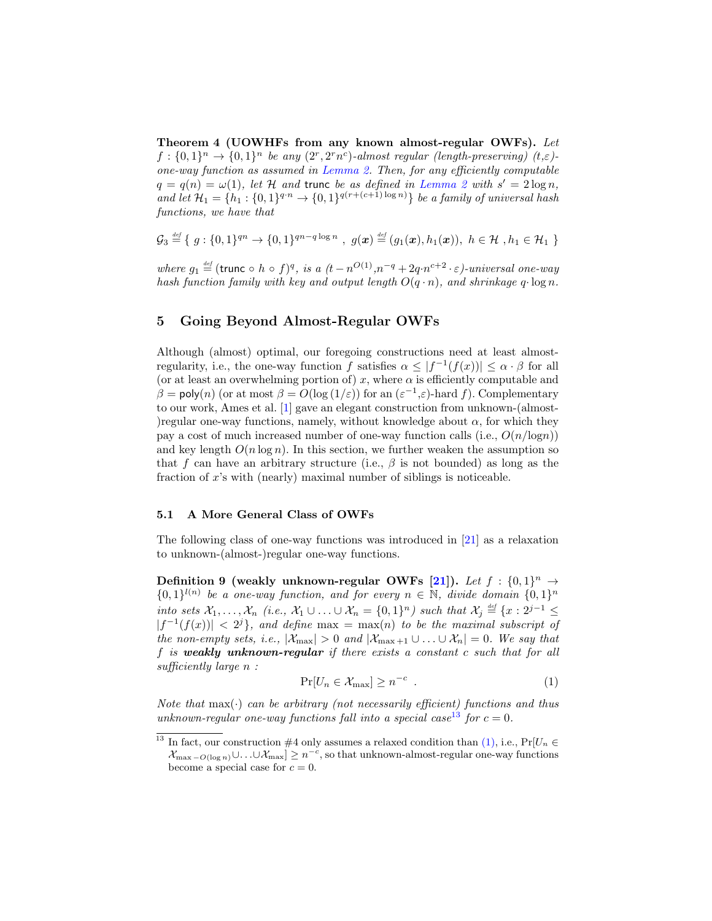Theorem 4 (UOWHFs from any known almost-regular OWFs). Let  $f: \{0,1\}^n \to \{0,1\}^n$  be any  $(2^r, 2^r n^c)$ -almost regular (length-preserving)  $(t,\varepsilon)$ one-way function as assumed in [Lemma 2.](#page-11-1) Then, for any efficiently computable  $q = q(n) = \omega(1)$ , let H and trunc be as defined in [Lemma 2](#page-11-1) with  $s' = 2 \log n$ , and let  $\mathcal{H}_1 = \{h_1 : \{0,1\}^{q \cdot n} \to \{0,1\}^{q(r+(c+1)\log n)}\}$  be a family of universal hash functions, we have that

$$
\mathcal{G}_3 \stackrel{\text{\tiny def}}{=} \{ g : \{0,1\}^{qn} \to \{0,1\}^{qn-q\log n} , g(\boldsymbol{x}) \stackrel{\text{\tiny def}}{=} (g_1(\boldsymbol{x}), h_1(\boldsymbol{x})), h \in \mathcal{H}, h_1 \in \mathcal{H}_1 \}
$$

where  $g_1 \stackrel{\text{def}}{=} (\text{trunc} \circ h \circ f)^q$ , is a  $(t - n^{O(1)}, n^{-q} + 2q \cdot n^{c+2} \cdot \varepsilon)$ -universal one-way hash function family with key and output length  $O(q \cdot n)$ , and shrinkage  $q \cdot \log n$ .

# 5 Going Beyond Almost-Regular OWFs

Although (almost) optimal, our foregoing constructions need at least almostregularity, i.e., the one-way function f satisfies  $\alpha \leq |f^{-1}(f(x))| \leq \alpha \cdot \beta$  for all (or at least an overwhelming portion of) x, where  $\alpha$  is efficiently computable and  $\beta = \text{poly}(n)$  (or at most  $\beta = O(\log(1/\varepsilon))$  for an  $(\varepsilon^{-1}, \varepsilon)$ -hard f). Complementary to our work, Ames et al. [\[1\]](#page-18-4) gave an elegant construction from unknown-(almost- )regular one-way functions, namely, without knowledge about  $\alpha$ , for which they pay a cost of much increased number of one-way function calls (i.e.,  $O(n/\log n)$ ) and key length  $O(n \log n)$ . In this section, we further weaken the assumption so that f can have an arbitrary structure (i.e.,  $\beta$  is not bounded) as long as the fraction of x's with (nearly) maximal number of siblings is noticeable.

#### 5.1 A More General Class of OWFs

The following class of one-way functions was introduced in [\[21\]](#page-19-7) as a relaxation to unknown-(almost-)regular one-way functions.

<span id="page-14-0"></span>Definition 9 (weakly unknown-regular OWFs [\[21\]](#page-19-7)). Let  $f: \{0,1\}^n \rightarrow$  ${0,1\}^{l(n)}$  be a one-way function, and for every  $n \in \mathbb{N}$ , divide domain  ${0,1}^n$ into sets  $\mathcal{X}_1,\ldots,\mathcal{X}_n$  (i.e.,  $\mathcal{X}_1\cup\ldots\cup\mathcal{X}_n=\{0,1\}^n$ ) such that  $\mathcal{X}_j\stackrel{\text{def}}{=}\{x:2^{j-1}\leq$  $|f^{-1}(f(x))| < 2^{j}$ , and define max = max(n) to be the maximal subscript of the non-empty sets, i.e.,  $|\mathcal{X}_{\text{max}}| > 0$  and  $|\mathcal{X}_{\text{max}+1} \cup ... \cup \mathcal{X}_n| = 0$ . We say that f is weakly unknown-regular if there exists a constant  $c$  such that for all sufficiently large  $n$ :

<span id="page-14-2"></span>
$$
\Pr[U_n \in \mathcal{X}_{\text{max}}] \ge n^{-c} \tag{1}
$$

Note that  $max(\cdot)$  can be arbitrary (not necessarily efficient) functions and thus unknown-regular one-way functions fall into a special case<sup>[13](#page-14-1)</sup> for  $c = 0$ .

<span id="page-14-1"></span><sup>&</sup>lt;sup>13</sup> In fact, our construction #4 only assumes a relaxed condition than  $(1)$ , i.e., Pr[ $U_n \in$  $\mathcal{X}_{\max - O(\log n)} \cup \ldots \cup \mathcal{X}_{\max} \geq n^{-c}$ , so that unknown-almost-regular one-way functions become a special case for  $c = 0$ .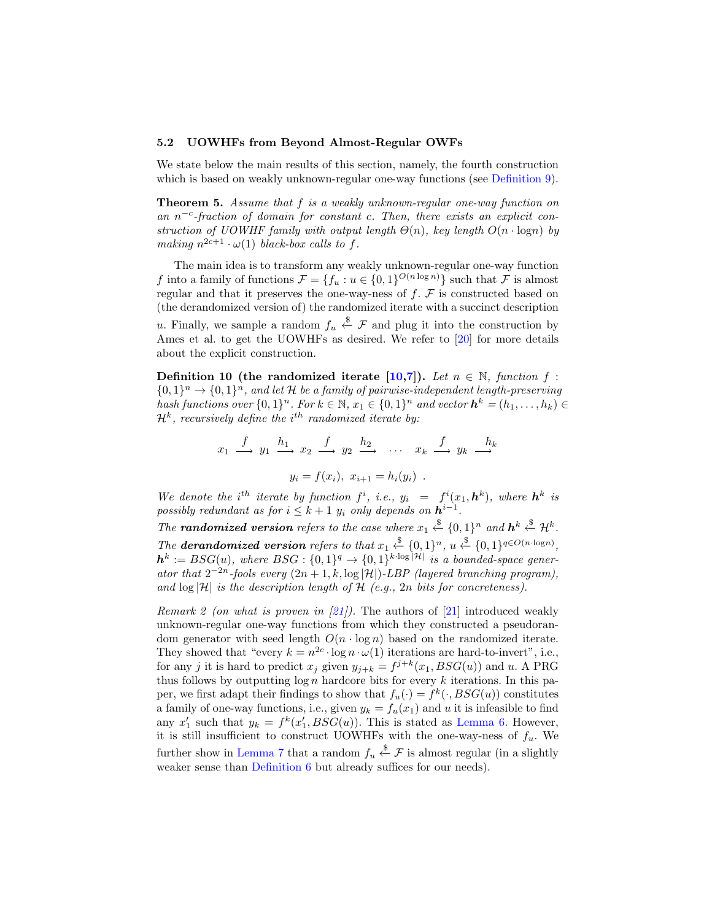#### 5.2 UOWHFs from Beyond Almost-Regular OWFs

We state below the main results of this section, namely, the fourth construction which is based on weakly unknown-regular one-way functions (see [Definition 9\)](#page-14-0).

Theorem 5. Assume that f is a weakly unknown-regular one-way function on an  $n^{-c}$ -fraction of domain for constant c. Then, there exists an explicit construction of UOWHF family with output length  $\Theta(n)$ , key length  $O(n \cdot \log n)$  by making  $n^{2c+1} \cdot \omega(1)$  black-box calls to f.

The main idea is to transform any weakly unknown-regular one-way function f into a family of functions  $\mathcal{F} = \{f_u : u \in \{0,1\}^{O(n \log n)}\}$  such that  $\mathcal F$  is almost regular and that it preserves the one-way-ness of  $f$ .  $F$  is constructed based on (the derandomized version of) the randomized iterate with a succinct description u. Finally, we sample a random  $f_u \stackrel{\$}{\leftarrow} \mathcal{F}$  and plug it into the construction by Ames et al. to get the UOWHFs as desired. We refer to [\[20\]](#page-19-10) for more details about the explicit construction.

<span id="page-15-1"></span>Definition 10 (the randomized iterate [\[10,](#page-18-8)[7\]](#page-18-10)). Let  $n \in \mathbb{N}$ , function f:  ${0,1}^n \rightarrow {0,1}^n$ , and let H be a family of pairwise-independent length-preserving hash functions over  $\{0,1\}^n$ . For  $k \in \mathbb{N}$ ,  $x_1 \in \{0,1\}^n$  and vector  $\mathbf{h}^k = (h_1, \ldots, h_k) \in$  $\mathcal{H}^k$ , recursively define the i<sup>th</sup> randomized iterate by:

$$
x_1 \xrightarrow{f} y_1 \xrightarrow{h_1} x_2 \xrightarrow{f} y_2 \xrightarrow{h_2} \cdots x_k \xrightarrow{f} y_k \xrightarrow{h_k}
$$

$$
y_i = f(x_i), x_{i+1} = h_i(y_i).
$$

We denote the i<sup>th</sup> iterate by function  $f^i$ , i.e.,  $y_i = f^i(x_1, h^k)$ , where  $h^k$  is possibly redundant as for  $i \leq k+1$   $y_i$  only depends on  $h^{i-1}$ .

The **randomized version** refers to the case where  $x_1 \stackrel{\$}{\leftarrow} \{0,1\}^n$  and  $h^k \stackrel{\$}{\leftarrow} \mathcal{H}^k$ . The **derandomized version** refers to that  $x_1 \stackrel{\$}{\leftarrow} \{0,1\}^n$ ,  $u \stackrel{\$}{\leftarrow} \{0,1\}^{q \in O(n \cdot \log n)}$ ,  $\mathbf{h}^k := BSG(u)$ , where  $BSG: \{0,1\}^q \rightarrow \{0,1\}^{k \cdot \log|\mathcal{H}|}$  is a bounded-space generator that  $2^{-2n}$ -fools every  $(2n+1, k, \log |\mathcal{H}|)$ -LBP (layered branching program), and  $\log |\mathcal{H}|$  is the description length of  $\mathcal{H}$  (e.g., 2n bits for concreteness).

<span id="page-15-0"></span>Remark 2 (on what is proven in  $(21)$ ). The authors of  $[21]$  introduced weakly unknown-regular one-way functions from which they constructed a pseudorandom generator with seed length  $O(n \cdot \log n)$  based on the randomized iterate. They showed that "every  $k = n^{2c} \cdot \log n \cdot \omega(1)$  iterations are hard-to-invert", i.e., for any j it is hard to predict  $x_j$  given  $y_{j+k} = f^{j+k}(x_1, BSG(u))$  and u. A PRG thus follows by outputting  $\log n$  hardcore bits for every k iterations. In this paper, we first adapt their findings to show that  $f_u(\cdot) = f^k(\cdot, BSG(u))$  constitutes a family of one-way functions, i.e., given  $y_k = f_u(x_1)$  and u it is infeasible to find any  $x'_1$  such that  $y_k = f^k(x'_1, BSG(u))$ . This is stated as [Lemma 6.](#page-16-0) However, it is still insufficient to construct UOWHFs with the one-way-ness of  $f_u$ . We further show in [Lemma 7](#page-16-1) that a random  $f_u \overset{\$}{\leftarrow} \mathcal{F}$  is almost regular (in a slightly weaker sense than [Definition 6](#page-7-2) but already suffices for our needs).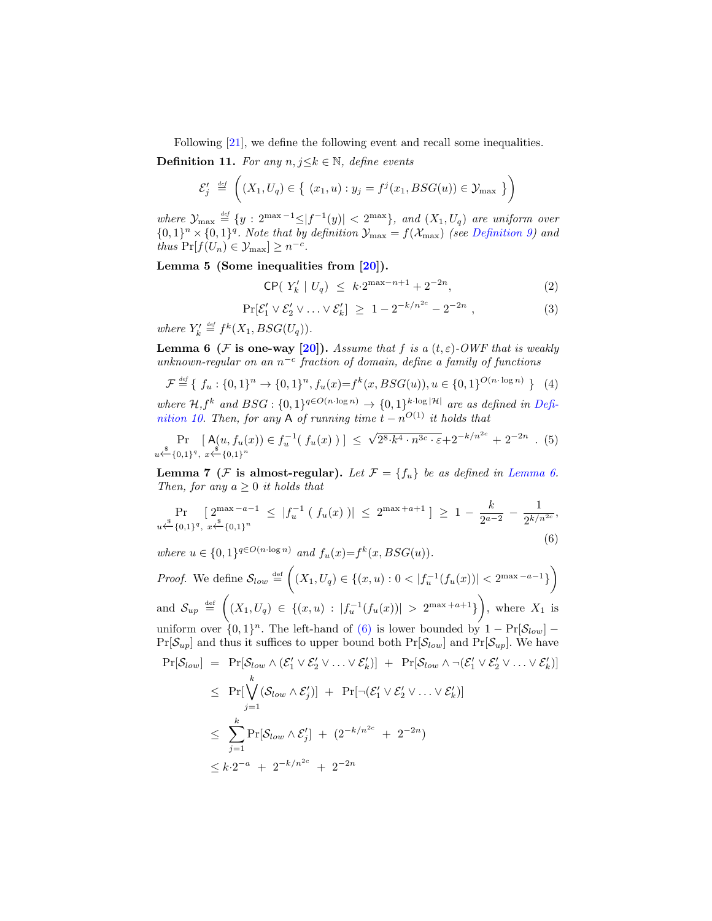Following [\[21\]](#page-19-7), we define the following event and recall some inequalities.

**Definition 11.** For any  $n, j \leq k \in \mathbb{N}$ , define events

$$
\mathcal{E}'_j \stackrel{\text{def}}{=} \left( (X_1, U_q) \in \left\{ (x_1, u) : y_j = f^j(x_1, BSG(u)) \in \mathcal{Y}_{\text{max}} \right\} \right)
$$

where  $\mathcal{Y}_{\max} \stackrel{\text{def}}{=} \{y : 2^{\max-1} \leq |f^{-1}(y)| < 2^{\max} \}, \text{ and } (X_1, U_q) \text{ are uniform over }$  $\{0,1\}^n \times \{0,1\}^q$ . Note that by definition  $\mathcal{Y}_{\text{max}} = f(\mathcal{X}_{\text{max}})$  (see [Definition 9\)](#page-14-0) and thus  $Pr[f(U_n) \in \mathcal{Y}_{\text{max}}] \geq n^{-c}$ .

Lemma 5 (Some inequalities from [\[20\]](#page-19-10)).

<span id="page-16-4"></span>
$$
\mathsf{CP}(|Y'_k| | U_q) \le k \cdot 2^{\max - n + 1} + 2^{-2n},\tag{2}
$$

<span id="page-16-3"></span>
$$
\Pr[\mathcal{E}'_1 \vee \mathcal{E}'_2 \vee \ldots \vee \mathcal{E}'_k] \ge 1 - 2^{-k/n^{2c}} - 2^{-2n} , \qquad (3)
$$

where  $Y'_k \stackrel{\text{\tiny def}}{=} f^k(X_1, BSG(U_q)).$ 

<span id="page-16-0"></span>**Lemma 6** (F is one-way [\[20\]](#page-19-10)). Assume that f is a  $(t, \varepsilon)$ -OWF that is weakly unknown-regular on an  $n^{-c}$  fraction of domain, define a family of functions

$$
\mathcal{F} \stackrel{\text{def}}{=} \{ f_u : \{0, 1\}^n \to \{0, 1\}^n, f_u(x) = f^k(x, BSG(u)), u \in \{0, 1\}^{O(n \cdot \log n)} \}
$$
(4)

where  $\mathcal{H}, f^k$  and  $BSG: \{0,1\}^{q \in O(n \cdot \log n)} \to \{0,1\}^{k \cdot \log |\mathcal{H}|}$  are as defined in [Defi](#page-15-1)[nition 10.](#page-15-1) Then, for any A of running time  $t - n^{O(1)}$  it holds that

$$
\Pr_{u \leftarrow \{0,1\}^q, x \leftarrow \{0,1\}^n} \left[A(u, f_u(x)) \in f_u^{-1}(f_u(x))\right] \leq \sqrt{2^8 \cdot k^4 \cdot n^{3c} \cdot \varepsilon} + 2^{-k/n^{2c}} + 2^{-2n} . (5)
$$

<span id="page-16-1"></span>**Lemma 7** (*F* is almost-regular). Let  $\mathcal{F} = \{f_u\}$  be as defined in [Lemma 6.](#page-16-0) Then, for any  $a \geq 0$  it holds that

<span id="page-16-2"></span>
$$
\Pr_{u \stackrel{\$}{\leftarrow} \{0,1\}^q, x \stackrel{\$}{\leftarrow} \{0,1\}^n} \left[ 2^{\max - a - 1} \le |f_u^{-1}(f_u(x))| \le 2^{\max + a + 1} \right] \ge 1 - \frac{k}{2^{a - 2}} - \frac{1}{2^{k/n^{2c}}},
$$
\n
$$
\text{where } u \in \{0,1\}^{q \in O(n \cdot \log n)} \text{ and } f_u(x) = f^k(x, BSG(u)). \tag{6}
$$

*Proof.* We define  $S_{low} \stackrel{\text{def}}{=} ((X_1, U_q) \in \{(x, u) : 0 < |f_u^{-1}(f_u(x))| < 2^{\max - a - 1}\})$ and  $S_{up} \equiv \left( (X_1, U_q) \in \{ (x, u) : |f_u^{-1}(f_u(x))| > 2^{\max + a + 1} \} \right)$ , where  $X_1$  is uniform over  $\{0,1\}^n$ . The left-hand of [\(6\)](#page-16-2) is lower bounded by  $1 - \Pr[\mathcal{S}_{low}]$  –  $Pr[\mathcal{S}_{up}]$  and thus it suffices to upper bound both  $Pr[\mathcal{S}_{low}]$  and  $Pr[\mathcal{S}_{up}]$ . We have  $\Pr[\mathcal{S}_{low}] = \Pr[\mathcal{S}_{low} \wedge (\mathcal{E}'_1 \vee \mathcal{E}'_2 \vee \ldots \vee \mathcal{E}'_k)] + \Pr[\mathcal{S}_{low} \wedge \neg(\mathcal{E}'_1 \vee \mathcal{E}'_2 \vee \ldots \vee \mathcal{E}'_k)]$  $\leq \Pr[\bigvee^k$  $j=1$  $(\mathcal{S}_{low} \wedge \mathcal{E}'_j)$  + Pr[¬ $(\mathcal{E}'_1 \vee \mathcal{E}'_2 \vee \ldots \vee \mathcal{E}'_k)$ ]  $\leq$   $\sum_{k=1}^{k}$  $j=1$  $\Pr[\mathcal{S}_{low} \wedge \mathcal{E}'_j] + (2^{-k/n^{2c}} + 2^{-2n})$  $\leq k \cdot 2^{-a} + 2^{-k/n^{2c}} + 2^{-2n}$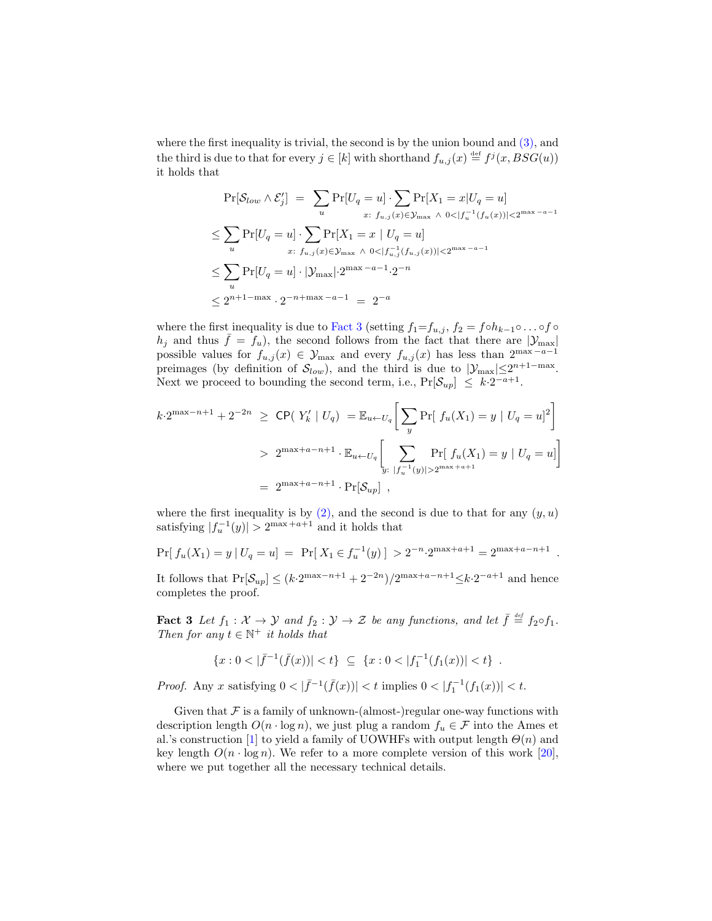where the first inequality is trivial, the second is by the union bound and [\(3\),](#page-16-3) and the third is due to that for every  $j \in [k]$  with shorthand  $f_{u,j}(x) \stackrel{\text{def}}{=} f^j(x, BSG(u))$ it holds that

$$
\Pr[S_{low} \wedge \mathcal{E}'_j] = \sum_{u} \Pr[U_q = u] \cdot \sum_{x: \ f_{u,j}(x) \in \mathcal{Y}_{\text{max}}} \Pr[X_1 = x | U_q = u]
$$
  
\n
$$
\leq \sum_{u} \Pr[U_q = u] \cdot \sum_{x: \ f_{u,j}(x) \in \mathcal{Y}_{\text{max}}} \Pr[X_1 = x | U_q = u]
$$
  
\n
$$
\leq \sum_{u} \Pr[U_q = u] \cdot \sum_{x: \ f_{u,j}(x) \in \mathcal{Y}_{\text{max}}} \wedge o \langle f_{u,j}^{-1}(f_{u,j}(x)) | \langle 2^{\max - a - 1} \rangle
$$
  
\n
$$
\leq \sum_{u} \Pr[U_q = u] \cdot |\mathcal{Y}_{\text{max}}| \cdot 2^{\max - a - 1} \cdot 2^{-n}
$$
  
\n
$$
\leq 2^{n+1 - \max} \cdot 2^{-n + \max - a - 1} = 2^{-a}
$$

where the first inequality is due to [Fact 3](#page-17-0) (setting  $f_1=f_{u,j}$ ,  $f_2 = f \circ h_{k-1} \circ \ldots \circ f \circ$  $h_j$  and thus  $\bar{f} = f_u$ , the second follows from the fact that there are  $|\mathcal{Y}_{\text{max}}|$ possible values for  $f_{u,j}(x) \in \mathcal{Y}_{\text{max}}$  and every  $f_{u,j}(x)$  has less than  $2^{\max_{u} - a - 1}$ preimages (by definition of  $S_{low}$ ), and the third is due to  $|\mathcal{Y}_{max}| \leq 2^{n+1-\max}$ . Next we proceed to bounding the second term, i.e.,  $Pr[\mathcal{S}_{up}] \leq k \cdot 2^{-a+1}$ .

$$
k \cdot 2^{\max - n + 1} + 2^{-2n} \geq \text{CP}(Y_k' \mid U_q) = \mathbb{E}_{u \leftarrow U_q} \bigg[ \sum_y \Pr[\ f_u(X_1) = y \mid U_q = u]^2 \bigg]
$$
  
> 
$$
2^{\max + a - n + 1} \cdot \mathbb{E}_{u \leftarrow U_q} \bigg[ \sum_{y: |f_u^{-1}(y)| > 2^{\max + a + 1}} \Pr[f_u(X_1) = y \mid U_q = u] \bigg]
$$
  
= 
$$
2^{\max + a - n + 1} \cdot \Pr[\mathcal{S}_{up}] ,
$$

where the first inequality is by  $(2)$ , and the second is due to that for any  $(y, u)$ satisfying  $|f_u^{-1}(y)| > 2^{\max + a + 1}$  and it holds that

$$
\Pr[f_u(X_1) = y | U_q = u] = \Pr[X_1 \in f_u^{-1}(y)] > 2^{-n} \cdot 2^{\max + a + 1} = 2^{\max + a - n + 1}
$$

.

It follows that  $Pr[\mathcal{S}_{up}] \leq (k \cdot 2^{\max-n+1} + 2^{-2n})/2^{\max+n-n+1} \leq k \cdot 2^{-a+1}$  and hence completes the proof.

<span id="page-17-0"></span>**Fact 3** Let  $f_1 : \mathcal{X} \to \mathcal{Y}$  and  $f_2 : \mathcal{Y} \to \mathcal{Z}$  be any functions, and let  $\bar{f} \stackrel{\text{\tiny def}}{=} f_2 \circ f_1$ . Then for any  $t \in \mathbb{N}^+$  it holds that

$$
\{x: 0 < |\bar f^{-1}(\bar f(x))| < t\} \ \subseteq \ \{x: 0 < |f_1^{-1}(f_1(x))| < t\} \ .
$$

*Proof.* Any x satisfying  $0 < |\bar{f}^{-1}(\bar{f}(x))| < t$  implies  $0 < |f_1^{-1}(f_1(x))| < t$ .

Given that  $\mathcal F$  is a family of unknown-(almost-)regular one-way functions with description length  $O(n \cdot \log n)$ , we just plug a random  $f_u \in \mathcal{F}$  into the Ames et al.'s construction [\[1\]](#page-18-4) to yield a family of UOWHFs with output length  $\Theta(n)$  and key length  $O(n \cdot \log n)$ . We refer to a more complete version of this work [\[20\]](#page-19-10), where we put together all the necessary technical details.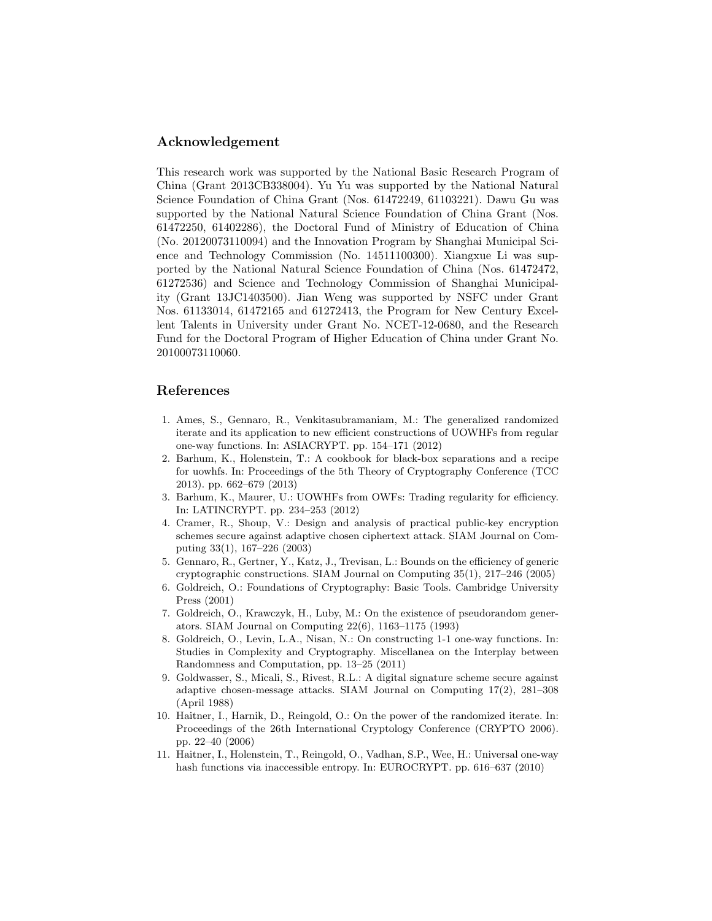## Acknowledgement

This research work was supported by the National Basic Research Program of China (Grant 2013CB338004). Yu Yu was supported by the National Natural Science Foundation of China Grant (Nos. 61472249, 61103221). Dawu Gu was supported by the National Natural Science Foundation of China Grant (Nos. 61472250, 61402286), the Doctoral Fund of Ministry of Education of China (No. 20120073110094) and the Innovation Program by Shanghai Municipal Science and Technology Commission (No. 14511100300). Xiangxue Li was supported by the National Natural Science Foundation of China (Nos. 61472472, 61272536) and Science and Technology Commission of Shanghai Municipality (Grant 13JC1403500). Jian Weng was supported by NSFC under Grant Nos. 61133014, 61472165 and 61272413, the Program for New Century Excellent Talents in University under Grant No. NCET-12-0680, and the Research Fund for the Doctoral Program of Higher Education of China under Grant No. 20100073110060.

# References

- <span id="page-18-4"></span>1. Ames, S., Gennaro, R., Venkitasubramaniam, M.: The generalized randomized iterate and its application to new efficient constructions of UOWHFs from regular one-way functions. In: ASIACRYPT. pp. 154–171 (2012)
- <span id="page-18-7"></span>2. Barhum, K., Holenstein, T.: A cookbook for black-box separations and a recipe for uowhfs. In: Proceedings of the 5th Theory of Cryptography Conference (TCC 2013). pp. 662–679 (2013)
- <span id="page-18-3"></span>3. Barhum, K., Maurer, U.: UOWHFs from OWFs: Trading regularity for efficiency. In: LATINCRYPT. pp. 234–253 (2012)
- <span id="page-18-1"></span>4. Cramer, R., Shoup, V.: Design and analysis of practical public-key encryption schemes secure against adaptive chosen ciphertext attack. SIAM Journal on Computing 33(1), 167–226 (2003)
- <span id="page-18-5"></span>5. Gennaro, R., Gertner, Y., Katz, J., Trevisan, L.: Bounds on the efficiency of generic cryptographic constructions. SIAM Journal on Computing 35(1), 217–246 (2005)
- <span id="page-18-9"></span>6. Goldreich, O.: Foundations of Cryptography: Basic Tools. Cambridge University Press (2001)
- <span id="page-18-10"></span>7. Goldreich, O., Krawczyk, H., Luby, M.: On the existence of pseudorandom generators. SIAM Journal on Computing 22(6), 1163–1175 (1993)
- <span id="page-18-6"></span>8. Goldreich, O., Levin, L.A., Nisan, N.: On constructing 1-1 one-way functions. In: Studies in Complexity and Cryptography. Miscellanea on the Interplay between Randomness and Computation, pp. 13–25 (2011)
- <span id="page-18-0"></span>9. Goldwasser, S., Micali, S., Rivest, R.L.: A digital signature scheme secure against adaptive chosen-message attacks. SIAM Journal on Computing 17(2), 281–308 (April 1988)
- <span id="page-18-8"></span>10. Haitner, I., Harnik, D., Reingold, O.: On the power of the randomized iterate. In: Proceedings of the 26th International Cryptology Conference (CRYPTO 2006). pp. 22–40 (2006)
- <span id="page-18-2"></span>11. Haitner, I., Holenstein, T., Reingold, O., Vadhan, S.P., Wee, H.: Universal one-way hash functions via inaccessible entropy. In: EUROCRYPT. pp. 616–637 (2010)